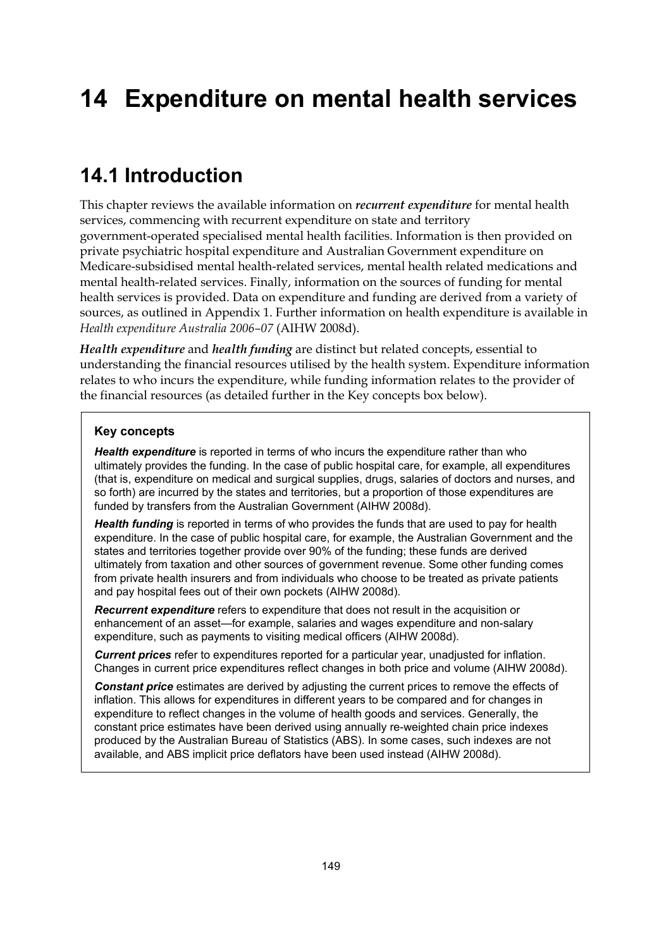# **14 Expenditure on mental health services**

# **14.1 Introduction**

This chapter reviews the available information on *recurrent expenditure* for mental health services, commencing with recurrent expenditure on state and territory government-operated specialised mental health facilities. Information is then provided on private psychiatric hospital expenditure and Australian Government expenditure on Medicare-subsidised mental health-related services, mental health related medications and mental health-related services. Finally, information on the sources of funding for mental health services is provided. Data on expenditure and funding are derived from a variety of sources, as outlined in Appendix 1. Further information on health expenditure is available in *Health expenditure Australia 2006–07* (AIHW 2008d).

*Health expenditure* and *health funding* are distinct but related concepts, essential to understanding the financial resources utilised by the health system. Expenditure information relates to who incurs the expenditure, while funding information relates to the provider of the financial resources (as detailed further in the Key concepts box below).

#### **Key concepts**

*Health expenditure* is reported in terms of who incurs the expenditure rather than who ultimately provides the funding. In the case of public hospital care, for example, all expenditures (that is, expenditure on medical and surgical supplies, drugs, salaries of doctors and nurses, and so forth) are incurred by the states and territories, but a proportion of those expenditures are funded by transfers from the Australian Government (AIHW 2008d).

*Health funding* is reported in terms of who provides the funds that are used to pay for health expenditure. In the case of public hospital care, for example, the Australian Government and the states and territories together provide over 90% of the funding; these funds are derived ultimately from taxation and other sources of government revenue. Some other funding comes from private health insurers and from individuals who choose to be treated as private patients and pay hospital fees out of their own pockets (AIHW 2008d).

*Recurrent expenditure* refers to expenditure that does not result in the acquisition or enhancement of an asset—for example, salaries and wages expenditure and non-salary expenditure, such as payments to visiting medical officers (AIHW 2008d).

*Current prices* refer to expenditures reported for a particular year, unadjusted for inflation. Changes in current price expenditures reflect changes in both price and volume (AIHW 2008d).

*Constant price* estimates are derived by adjusting the current prices to remove the effects of inflation. This allows for expenditures in different years to be compared and for changes in expenditure to reflect changes in the volume of health goods and services. Generally, the constant price estimates have been derived using annually re-weighted chain price indexes produced by the Australian Bureau of Statistics (ABS). In some cases, such indexes are not available, and ABS implicit price deflators have been used instead (AIHW 2008d).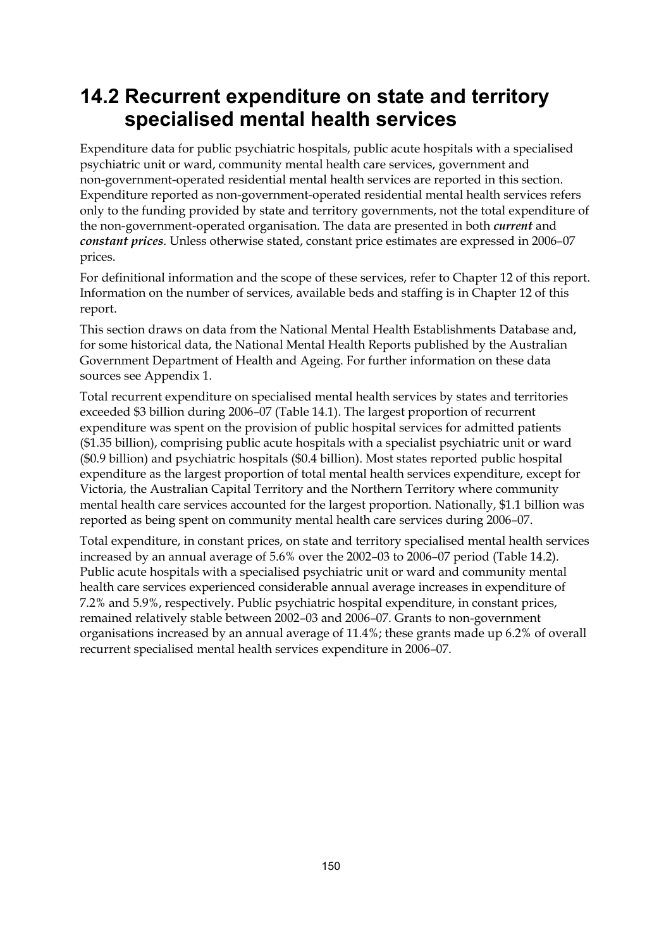## **14.2 Recurrent expenditure on state and territory specialised mental health services**

Expenditure data for public psychiatric hospitals, public acute hospitals with a specialised psychiatric unit or ward, community mental health care services, government and non-government-operated residential mental health services are reported in this section. Expenditure reported as non-government-operated residential mental health services refers only to the funding provided by state and territory governments, not the total expenditure of the non-government-operated organisation. The data are presented in both *current* and *constant prices*. Unless otherwise stated, constant price estimates are expressed in 2006–07 prices.

For definitional information and the scope of these services, refer to Chapter 12 of this report. Information on the number of services, available beds and staffing is in Chapter 12 of this report.

This section draws on data from the National Mental Health Establishments Database and, for some historical data, the National Mental Health Reports published by the Australian Government Department of Health and Ageing. For further information on these data sources see Appendix 1.

Total recurrent expenditure on specialised mental health services by states and territories exceeded \$3 billion during 2006–07 (Table 14.1). The largest proportion of recurrent expenditure was spent on the provision of public hospital services for admitted patients (\$1.35 billion), comprising public acute hospitals with a specialist psychiatric unit or ward (\$0.9 billion) and psychiatric hospitals (\$0.4 billion). Most states reported public hospital expenditure as the largest proportion of total mental health services expenditure, except for Victoria, the Australian Capital Territory and the Northern Territory where community mental health care services accounted for the largest proportion. Nationally, \$1.1 billion was reported as being spent on community mental health care services during 2006–07.

Total expenditure, in constant prices, on state and territory specialised mental health services increased by an annual average of 5.6% over the 2002–03 to 2006–07 period (Table 14.2). Public acute hospitals with a specialised psychiatric unit or ward and community mental health care services experienced considerable annual average increases in expenditure of 7.2% and 5.9%, respectively. Public psychiatric hospital expenditure, in constant prices, remained relatively stable between 2002–03 and 2006–07. Grants to non-government organisations increased by an annual average of 11.4%; these grants made up 6.2% of overall recurrent specialised mental health services expenditure in 2006–07.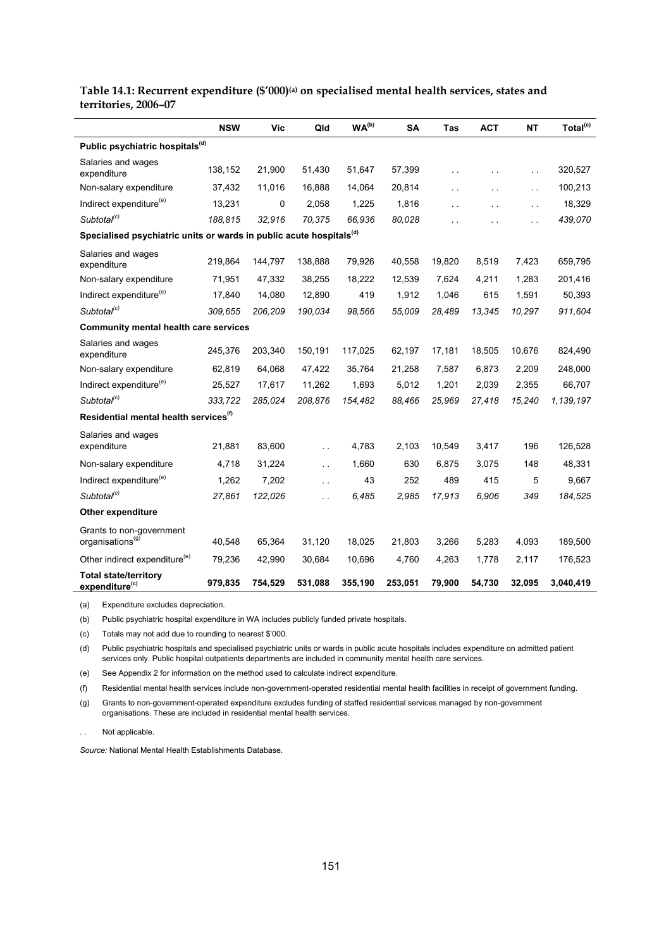|                                                                                 | <b>NSW</b> | <b>Vic</b> | Qld           | WA <sup>(b)</sup> | <b>SA</b> | Tas                  | <b>ACT</b>           | <b>NT</b>            | Total <sup>(c)</sup> |
|---------------------------------------------------------------------------------|------------|------------|---------------|-------------------|-----------|----------------------|----------------------|----------------------|----------------------|
| Public psychiatric hospitals <sup>(d)</sup>                                     |            |            |               |                   |           |                      |                      |                      |                      |
| Salaries and wages<br>expenditure                                               | 138,152    | 21,900     | 51,430        | 51,647            | 57,399    | $\ddot{\phantom{a}}$ | $\ddot{\phantom{1}}$ | $\sim$               | 320,527              |
| Non-salary expenditure                                                          | 37,432     | 11.016     | 16.888        | 14.064            | 20.814    |                      |                      | $\sim$ $\sim$        | 100,213              |
| Indirect expenditure <sup>(e)</sup>                                             | 13,231     | 0          | 2,058         | 1,225             | 1,816     |                      | г.                   | $\sim$ $\sim$        | 18,329               |
| Subtotal <sup>(c)</sup>                                                         | 188,815    | 32,916     | 70,375        | 66,936            | 80,028    |                      |                      | $\ddot{\phantom{0}}$ | 439,070              |
| Specialised psychiatric units or wards in public acute hospitals <sup>(d)</sup> |            |            |               |                   |           |                      |                      |                      |                      |
| Salaries and wages<br>expenditure                                               | 219,864    | 144,797    | 138,888       | 79,926            | 40,558    | 19,820               | 8,519                | 7,423                | 659,795              |
| Non-salary expenditure                                                          | 71,951     | 47,332     | 38,255        | 18,222            | 12,539    | 7,624                | 4,211                | 1,283                | 201,416              |
| Indirect expenditure <sup>(e)</sup>                                             | 17,840     | 14,080     | 12,890        | 419               | 1,912     | 1,046                | 615                  | 1,591                | 50,393               |
| Subtotal <sup>(c)</sup>                                                         | 309,655    | 206,209    | 190,034       | 98,566            | 55,009    | 28,489               | 13,345               | 10,297               | 911,604              |
| Community mental health care services                                           |            |            |               |                   |           |                      |                      |                      |                      |
| Salaries and wages<br>expenditure                                               | 245,376    | 203,340    | 150,191       | 117,025           | 62,197    | 17,181               | 18,505               | 10,676               | 824,490              |
| Non-salary expenditure                                                          | 62,819     | 64,068     | 47,422        | 35,764            | 21,258    | 7,587                | 6,873                | 2,209                | 248,000              |
| Indirect expenditure <sup>(e)</sup>                                             | 25,527     | 17,617     | 11,262        | 1,693             | 5,012     | 1,201                | 2,039                | 2,355                | 66,707               |
| Subtotal <sup>(c)</sup>                                                         | 333,722    | 285,024    | 208,876       | 154,482           | 88,466    | 25,969               | 27,418               | 15,240               | 1,139,197            |
| Residential mental health services <sup>(f)</sup>                               |            |            |               |                   |           |                      |                      |                      |                      |
| Salaries and wages<br>expenditure                                               | 21,881     | 83,600     | $\sim$ $\sim$ | 4,783             | 2,103     | 10,549               | 3,417                | 196                  | 126,528              |
| Non-salary expenditure                                                          | 4,718      | 31,224     | $\sim$ $\sim$ | 1,660             | 630       | 6,875                | 3,075                | 148                  | 48,331               |
| Indirect expenditure <sup>(e)</sup>                                             | 1,262      | 7,202      | i.            | 43                | 252       | 489                  | 415                  | 5                    | 9,667                |
| Subtotal <sup>(c)</sup>                                                         | 27,861     | 122,026    | i.            | 6,485             | 2,985     | 17,913               | 6,906                | 349                  | 184,525              |
| <b>Other expenditure</b>                                                        |            |            |               |                   |           |                      |                      |                      |                      |
| Grants to non-government<br>organisations <sup>(g)</sup>                        | 40,548     | 65,364     | 31,120        | 18,025            | 21,803    | 3,266                | 5,283                | 4,093                | 189,500              |
| Other indirect expenditure <sup>(e)</sup>                                       | 79,236     | 42,990     | 30,684        | 10,696            | 4,760     | 4,263                | 1,778                | 2,117                | 176,523              |
| <b>Total state/territory</b><br>expenditure <sup>(c)</sup>                      | 979,835    | 754,529    | 531,088       | 355,190           | 253,051   | 79,900               | 54,730               | 32,095               | 3,040,419            |

#### **Table 14.1: Recurrent expenditure (\$'000)(a) on specialised mental health services, states and territories, 2006–07**

(a) Expenditure excludes depreciation.

(b) Public psychiatric hospital expenditure in WA includes publicly funded private hospitals.

(c) Totals may not add due to rounding to nearest \$'000.

(d) Public psychiatric hospitals and specialised psychiatric units or wards in public acute hospitals includes expenditure on admitted patient services only. Public hospital outpatients departments are included in community mental health care services.

(e) See Appendix 2 for information on the method used to calculate indirect expenditure.

(f) Residential mental health services include non-government-operated residential mental health facilities in receipt of government funding.

(g) Grants to non-government-operated expenditure excludes funding of staffed residential services managed by non-government organisations. These are included in residential mental health services.

Not applicable.

*Source:* National Mental Health Establishments Database.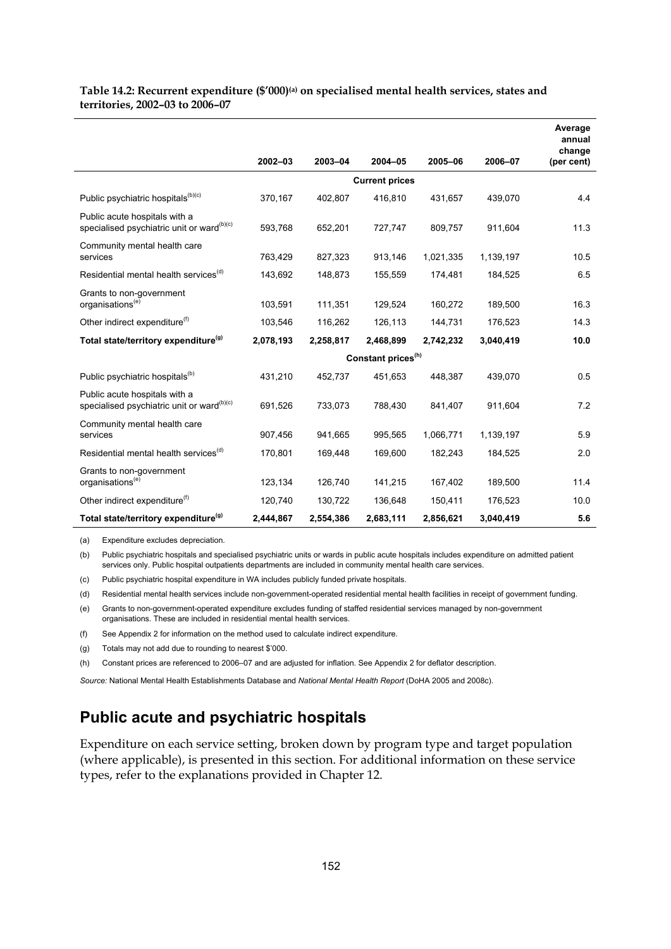|                                                                                         |           |           |                                |           |           | Average<br>annual<br>change |
|-----------------------------------------------------------------------------------------|-----------|-----------|--------------------------------|-----------|-----------|-----------------------------|
|                                                                                         | 2002-03   | 2003-04   | $2004 - 05$                    | 2005-06   | 2006-07   | (per cent)                  |
|                                                                                         |           |           | <b>Current prices</b>          |           |           |                             |
| Public psychiatric hospitals <sup>(b)(c)</sup>                                          | 370,167   | 402,807   | 416,810                        | 431,657   | 439,070   | 4.4                         |
| Public acute hospitals with a<br>specialised psychiatric unit or ward <sup>(b)(c)</sup> | 593,768   | 652,201   | 727,747                        | 809,757   | 911,604   | 11.3                        |
| Community mental health care<br>services                                                | 763,429   | 827,323   | 913,146                        | 1,021,335 | 1,139,197 | 10.5                        |
| Residential mental health services <sup>(d)</sup>                                       | 143,692   | 148,873   | 155,559                        | 174,481   | 184,525   | 6.5                         |
| Grants to non-government<br>organisations <sup>(e)</sup>                                | 103,591   | 111,351   | 129,524                        | 160,272   | 189,500   | 16.3                        |
| Other indirect expenditure <sup>(f)</sup>                                               | 103,546   | 116,262   | 126,113                        | 144,731   | 176,523   | 14.3                        |
| Total state/territory expenditure <sup>(g)</sup>                                        | 2,078,193 | 2,258,817 | 2,468,899                      | 2,742,232 | 3,040,419 | 10.0                        |
|                                                                                         |           |           | Constant prices <sup>(h)</sup> |           |           |                             |
| Public psychiatric hospitals <sup>(b)</sup>                                             | 431,210   | 452,737   | 451,653                        | 448,387   | 439,070   | 0.5                         |
| Public acute hospitals with a<br>specialised psychiatric unit or ward <sup>(b)(c)</sup> | 691,526   | 733,073   | 788,430                        | 841,407   | 911,604   | 7.2                         |
| Community mental health care<br>services                                                | 907,456   | 941,665   | 995,565                        | 1,066,771 | 1,139,197 | 5.9                         |
| Residential mental health services <sup>(d)</sup>                                       | 170,801   | 169,448   | 169,600                        | 182,243   | 184,525   | 2.0                         |
| Grants to non-government<br>organisations <sup>(e)</sup>                                | 123,134   | 126,740   | 141,215                        | 167,402   | 189,500   | 11.4                        |
| Other indirect expenditure <sup>(f)</sup>                                               | 120,740   | 130,722   | 136,648                        | 150,411   | 176,523   | 10.0                        |
| Total state/territory expenditure <sup>(g)</sup>                                        | 2,444,867 | 2,554,386 | 2,683,111                      | 2,856,621 | 3,040,419 | 5.6                         |

#### Table 14.2: Recurrent expenditure (\$'000)<sup>(a)</sup> on specialised mental health services, states and **territories, 2002–03 to 2006–07**

(a) Expenditure excludes depreciation.

(b) Public psychiatric hospitals and specialised psychiatric units or wards in public acute hospitals includes expenditure on admitted patient services only. Public hospital outpatients departments are included in community mental health care services.

(c) Public psychiatric hospital expenditure in WA includes publicly funded private hospitals.

(d) Residential mental health services include non-government-operated residential mental health facilities in receipt of government funding.

(e) Grants to non-government-operated expenditure excludes funding of staffed residential services managed by non-government organisations. These are included in residential mental health services.

(f) See Appendix 2 for information on the method used to calculate indirect expenditure.

(g) Totals may not add due to rounding to nearest \$'000.

(h) Constant prices are referenced to 2006–07 and are adjusted for inflation. See Appendix 2 for deflator description.

*Source:* National Mental Health Establishments Database and *National Mental Health Report* (DoHA 2005 and 2008c).

### **Public acute and psychiatric hospitals**

Expenditure on each service setting, broken down by program type and target population (where applicable), is presented in this section. For additional information on these service types, refer to the explanations provided in Chapter 12.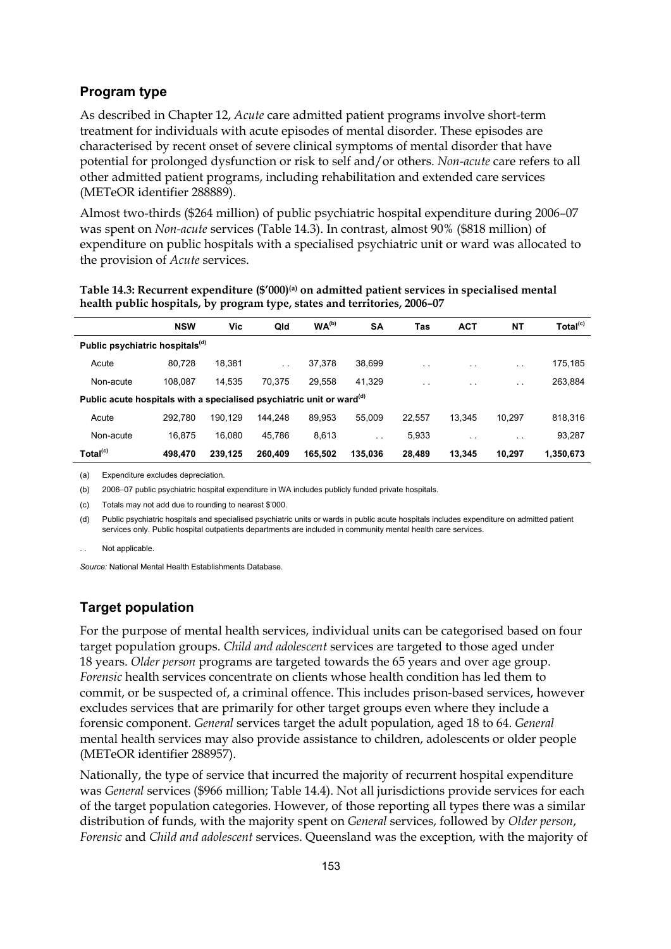#### **Program type**

As described in Chapter 12, *Acute* care admitted patient programs involve short-term treatment for individuals with acute episodes of mental disorder. These episodes are characterised by recent onset of severe clinical symptoms of mental disorder that have potential for prolonged dysfunction or risk to self and/or others. *Non-acute* care refers to all other admitted patient programs, including rehabilitation and extended care services (METeOR identifier 288889).

Almost two-thirds (\$264 million) of public psychiatric hospital expenditure during 2006–07 was spent on *Non-acute* services (Table 14.3). In contrast, almost 90% (\$818 million) of expenditure on public hospitals with a specialised psychiatric unit or ward was allocated to the provision of *Acute* services.

|                                                                                   | <b>NSW</b> | Vic.    | Qld           | WA <sup>(b)</sup> | <b>SA</b>     | Tas           | <b>ACT</b>    | NΤ                   | Total <sup>(c)</sup> |
|-----------------------------------------------------------------------------------|------------|---------|---------------|-------------------|---------------|---------------|---------------|----------------------|----------------------|
| Public psychiatric hospitals <sup>(d)</sup>                                       |            |         |               |                   |               |               |               |                      |                      |
| Acute                                                                             | 80.728     | 18,381  | $\sim$ $\sim$ | 37,378            | 38.699        | $\sim$ $\sim$ | $\sim$ $\sim$ | $\sim$ $\sim$        | 175,185              |
| Non-acute                                                                         | 108.087    | 14.535  | 70.375        | 29.558            | 41.329        | $\ddotsc$     | $\cdot$ .     | $\ddot{\phantom{0}}$ | 263,884              |
| Public acute hospitals with a specialised psychiatric unit or ward <sup>(d)</sup> |            |         |               |                   |               |               |               |                      |                      |
| Acute                                                                             | 292.780    | 190.129 | 144.248       | 89,953            | 55.009        | 22.557        | 13.345        | 10.297               | 818,316              |
| Non-acute                                                                         | 16,875     | 16.080  | 45,786        | 8,613             | $\sim$ $\sim$ | 5,933         | $\cdot$ .     | $\sim$ $\sim$        | 93,287               |
| Total <sup>(c)</sup>                                                              | 498.470    | 239.125 | 260.409       | 165,502           | 135.036       | 28,489        | 13,345        | 10.297               | 1,350,673            |

Table 14.3: Recurrent expenditure (\$'000)<sup>(a)</sup> on admitted patient services in specialised mental **health public hospitals, by program type, states and territories, 2006–07** 

(a) Expenditure excludes depreciation.

(b) 2006−07 public psychiatric hospital expenditure in WA includes publicly funded private hospitals.

(c) Totals may not add due to rounding to nearest \$'000.

(d) Public psychiatric hospitals and specialised psychiatric units or wards in public acute hospitals includes expenditure on admitted patient services only. Public hospital outpatients departments are included in community mental health care services.

Not applicable.

*Source:* National Mental Health Establishments Database.

#### **Target population**

For the purpose of mental health services, individual units can be categorised based on four target population groups. *Child and adolescent* services are targeted to those aged under 18 years. *Older person* programs are targeted towards the 65 years and over age group. *Forensic* health services concentrate on clients whose health condition has led them to commit, or be suspected of, a criminal offence. This includes prison-based services, however excludes services that are primarily for other target groups even where they include a forensic component. *General* services target the adult population, aged 18 to 64. *General* mental health services may also provide assistance to children, adolescents or older people (METeOR identifier 288957).

Nationally, the type of service that incurred the majority of recurrent hospital expenditure was *General* services (\$966 million; Table 14.4). Not all jurisdictions provide services for each of the target population categories. However, of those reporting all types there was a similar distribution of funds, with the majority spent on *General* services, followed by *Older person*, *Forensic* and *Child and adolescent* services. Queensland was the exception, with the majority of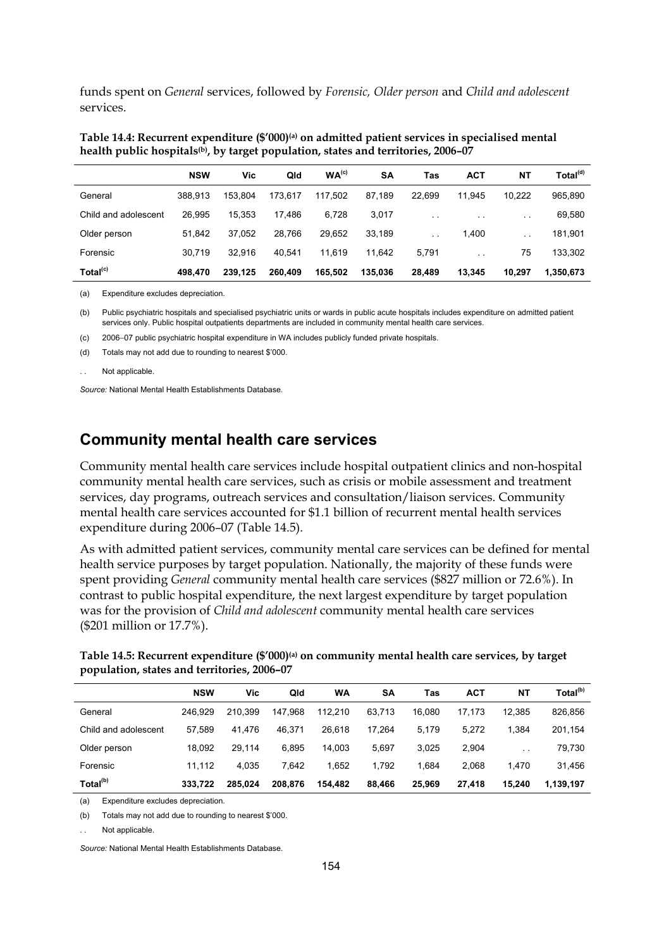funds spent on *General* services, followed by *Forensic, Older person* and *Child and adolescent* services.

| Table 14.4: Recurrent expenditure (\$'000) <sup>(a)</sup> on admitted patient services in specialised mental |  |
|--------------------------------------------------------------------------------------------------------------|--|
| health public hospitals <sup>(b)</sup> , by target population, states and territories, 2006–07               |  |

|                      | <b>NSW</b> | Vic     | Qld     | WA <sup>(c)</sup> | <b>SA</b> | Tas                  | <b>ACT</b> | <b>NT</b>     | Total <sup>(d)</sup> |
|----------------------|------------|---------|---------|-------------------|-----------|----------------------|------------|---------------|----------------------|
| General              | 388.913    | 153.804 | 173.617 | 117.502           | 87.189    | 22.699               | 11.945     | 10,222        | 965,890              |
| Child and adolescent | 26,995     | 15.353  | 17.486  | 6,728             | 3,017     | $\sim$ $\sim$        | $\cdot$ .  | $\sim$ $\sim$ | 69,580               |
| Older person         | 51.842     | 37.052  | 28.766  | 29.652            | 33.189    | $\ddot{\phantom{0}}$ | 1,400      | $\sim$ $\sim$ | 181,901              |
| Forensic             | 30.719     | 32.916  | 40.541  | 11.619            | 11.642    | 5.791                | $\cdot$ .  | 75            | 133,302              |
| Total <sup>(c)</sup> | 498.470    | 239.125 | 260,409 | 165.502           | 135.036   | 28,489               | 13.345     | 10,297        | 1,350,673            |

(a) Expenditure excludes depreciation.

(b) Public psychiatric hospitals and specialised psychiatric units or wards in public acute hospitals includes expenditure on admitted patient services only. Public hospital outpatients departments are included in community mental health care services.

(c) 2006−07 public psychiatric hospital expenditure in WA includes publicly funded private hospitals.

(d) Totals may not add due to rounding to nearest \$'000.

Not applicable.

*Source:* National Mental Health Establishments Database.

### **Community mental health care services**

Community mental health care services include hospital outpatient clinics and non-hospital community mental health care services, such as crisis or mobile assessment and treatment services, day programs, outreach services and consultation/liaison services. Community mental health care services accounted for \$1.1 billion of recurrent mental health services expenditure during 2006–07 (Table 14.5).

As with admitted patient services, community mental care services can be defined for mental health service purposes by target population. Nationally, the majority of these funds were spent providing *General* community mental health care services (\$827 million or 72.6%). In contrast to public hospital expenditure, the next largest expenditure by target population was for the provision of *Child and adolescent* community mental health care services (\$201 million or 17.7%).

Table 14.5: Recurrent expenditure (\$'000)<sup>(a)</sup> on community mental health care services, by target **population, states and territories, 2006–07** 

|                      | <b>NSW</b> | Vic     | Qld     | WA      | SΑ     | Tas    | <b>ACT</b> | NΤ                   | Total <sup>(b)</sup> |
|----------------------|------------|---------|---------|---------|--------|--------|------------|----------------------|----------------------|
| General              | 246.929    | 210.399 | 147.968 | 112.210 | 63.713 | 16.080 | 17.173     | 12.385               | 826,856              |
| Child and adolescent | 57.589     | 41.476  | 46.371  | 26.618  | 17.264 | 5.179  | 5.272      | 1.384                | 201,154              |
| Older person         | 18.092     | 29.114  | 6.895   | 14.003  | 5.697  | 3.025  | 2.904      | $\ddot{\phantom{0}}$ | 79,730               |
| Forensic             | 11.112     | 4.035   | 7.642   | 1.652   | 1.792  | 1.684  | 2.068      | 1.470                | 31,456               |
| Total <sup>(b)</sup> | 333.722    | 285.024 | 208.876 | 154.482 | 88.466 | 25.969 | 27.418     | 15.240               | 1.139.197            |

(a) Expenditure excludes depreciation.

(b) Totals may not add due to rounding to nearest \$'000.

Not applicable.

*Source:* National Mental Health Establishments Database.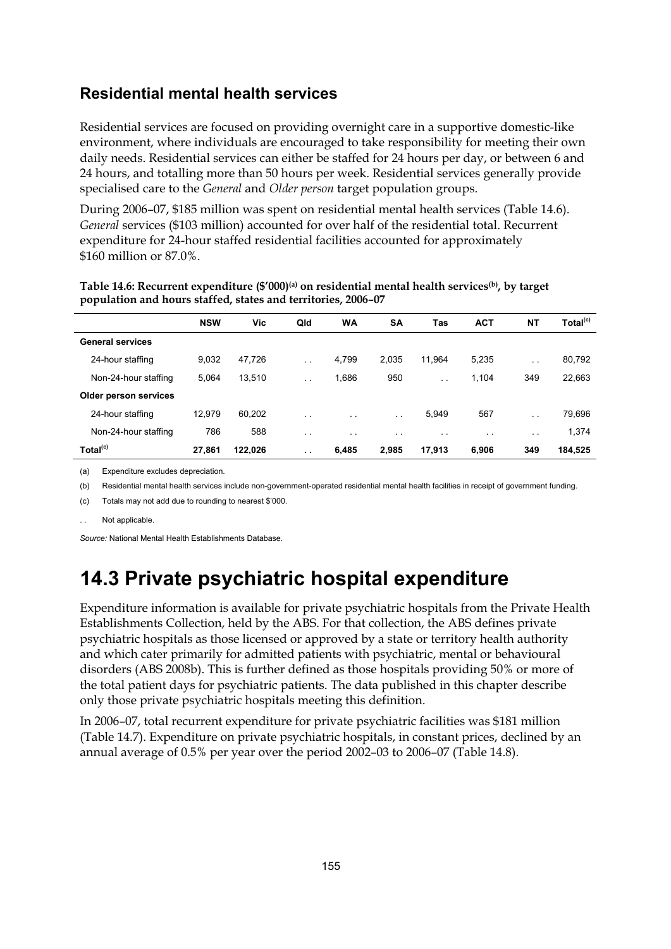### **Residential mental health services**

Residential services are focused on providing overnight care in a supportive domestic-like environment, where individuals are encouraged to take responsibility for meeting their own daily needs. Residential services can either be staffed for 24 hours per day, or between 6 and 24 hours, and totalling more than 50 hours per week. Residential services generally provide specialised care to the *General* and *Older person* target population groups.

During 2006–07, \$185 million was spent on residential mental health services (Table 14.6). *General* services (\$103 million) accounted for over half of the residential total. Recurrent expenditure for 24-hour staffed residential facilities accounted for approximately \$160 million or 87.0%.

|                         | <b>NSW</b> | Vic     | Qld                  | <b>WA</b> | <b>SA</b>            | Tas       | <b>ACT</b>    | <b>NT</b>     | Total <sup>(c)</sup> |
|-------------------------|------------|---------|----------------------|-----------|----------------------|-----------|---------------|---------------|----------------------|
| <b>General services</b> |            |         |                      |           |                      |           |               |               |                      |
| 24-hour staffing        | 9,032      | 47,726  | $\sim$ $\sim$        | 4,799     | 2,035                | 11,964    | 5,235         | $\sim$ $\sim$ | 80,792               |
| Non-24-hour staffing    | 5,064      | 13.510  | $\ddotsc$            | 1,686     | 950                  | $\ddotsc$ | 1,104         | 349           | 22,663               |
| Older person services   |            |         |                      |           |                      |           |               |               |                      |
| 24-hour staffing        | 12.979     | 60.202  | $\ddot{\phantom{0}}$ | $\sim$    | $\sim$ $\sim$        | 5,949     | 567           | $\sim$ $\sim$ | 79,696               |
| Non-24-hour staffing    | 786        | 588     | $\sim$ $\sim$        | $\cdot$ . | $\ddot{\phantom{0}}$ | $\sim$    | $\sim$ $\sim$ | $\sim$ $\sim$ | 1,374                |
| Total <sup>(c)</sup>    | 27.861     | 122.026 | $\ddot{\phantom{0}}$ | 6,485     | 2,985                | 17,913    | 6.906         | 349           | 184,525              |

Table 14.6: Recurrent expenditure (\$'000)<sup>(a)</sup> on residential mental health services<sup>(b)</sup>, by target **population and hours staffed, states and territories, 2006–07** 

(a) Expenditure excludes depreciation.

(b) Residential mental health services include non-government-operated residential mental health facilities in receipt of government funding.

(c) Totals may not add due to rounding to nearest \$'000.

Not applicable.

*Source:* National Mental Health Establishments Database.

## **14.3 Private psychiatric hospital expenditure**

Expenditure information is available for private psychiatric hospitals from the Private Health Establishments Collection, held by the ABS. For that collection, the ABS defines private psychiatric hospitals as those licensed or approved by a state or territory health authority and which cater primarily for admitted patients with psychiatric, mental or behavioural disorders (ABS 2008b). This is further defined as those hospitals providing 50% or more of the total patient days for psychiatric patients. The data published in this chapter describe only those private psychiatric hospitals meeting this definition.

In 2006–07, total recurrent expenditure for private psychiatric facilities was \$181 million (Table 14.7). Expenditure on private psychiatric hospitals, in constant prices, declined by an annual average of 0.5% per year over the period 2002–03 to 2006–07 (Table 14.8).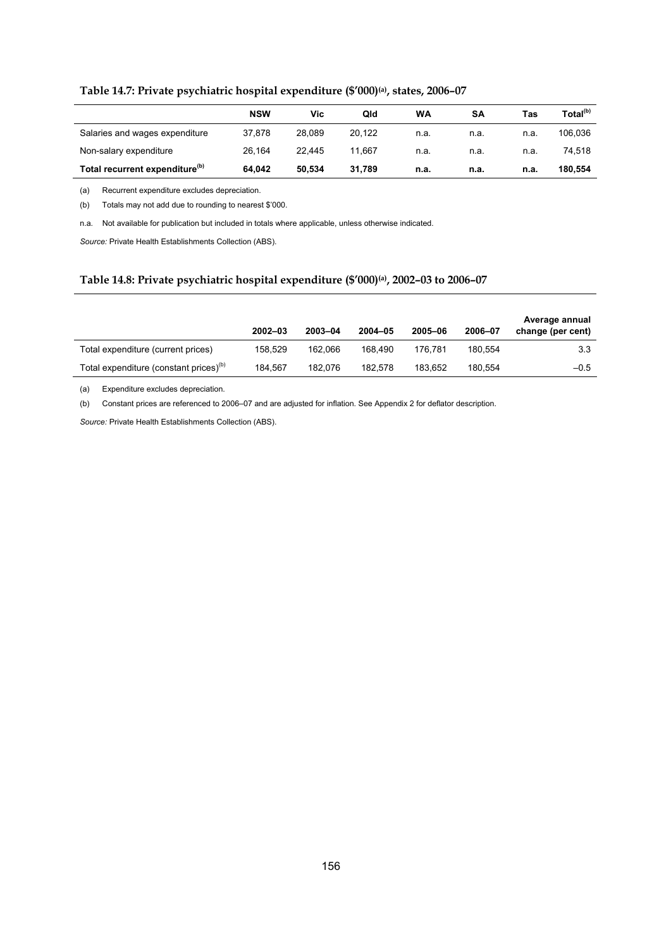|  | Table 14.7: Private psychiatric hospital expenditure (\$'000) <sup>(a)</sup> , states, 2006-07 |  |  |  |  |
|--|------------------------------------------------------------------------------------------------|--|--|--|--|
|--|------------------------------------------------------------------------------------------------|--|--|--|--|

|                                            | <b>NSW</b> | Vic    | Qld    | WA   | SΑ   | Tas  | Total <sup>(b)</sup> |
|--------------------------------------------|------------|--------|--------|------|------|------|----------------------|
| Salaries and wages expenditure             | 37.878     | 28.089 | 20.122 | n.a. | n.a. | n.a. | 106.036              |
| Non-salary expenditure                     | 26.164     | 22.445 | 11.667 | n.a. | n.a. | n.a. | 74.518               |
| Total recurrent expenditure <sup>(b)</sup> | 64.042     | 50.534 | 31.789 | n.a. | n.a. | n.a. | 180,554              |

(a) Recurrent expenditure excludes depreciation.

(b) Totals may not add due to rounding to nearest \$'000.

n.a. Not available for publication but included in totals where applicable, unless otherwise indicated.

*Source:* Private Health Establishments Collection (ABS).

#### **Table 14.8: Private psychiatric hospital expenditure (\$'000)(a), 2002–03 to 2006–07**

|                                                    | $2002 - 03$ | 2003-04 | 2004-05 | 2005-06 | 2006-07 | Average annual<br>change (per cent) |
|----------------------------------------------------|-------------|---------|---------|---------|---------|-------------------------------------|
| Total expenditure (current prices)                 | 158.529     | 162.066 | 168.490 | 176.781 | 180.554 | 3.3                                 |
| Total expenditure (constant prices) <sup>(b)</sup> | 184.567     | 182.076 | 182.578 | 183.652 | 180.554 | $-0.5$                              |

(a) Expenditure excludes depreciation.

(b) Constant prices are referenced to 2006–07 and are adjusted for inflation. See Appendix 2 for deflator description.

*Source:* Private Health Establishments Collection (ABS).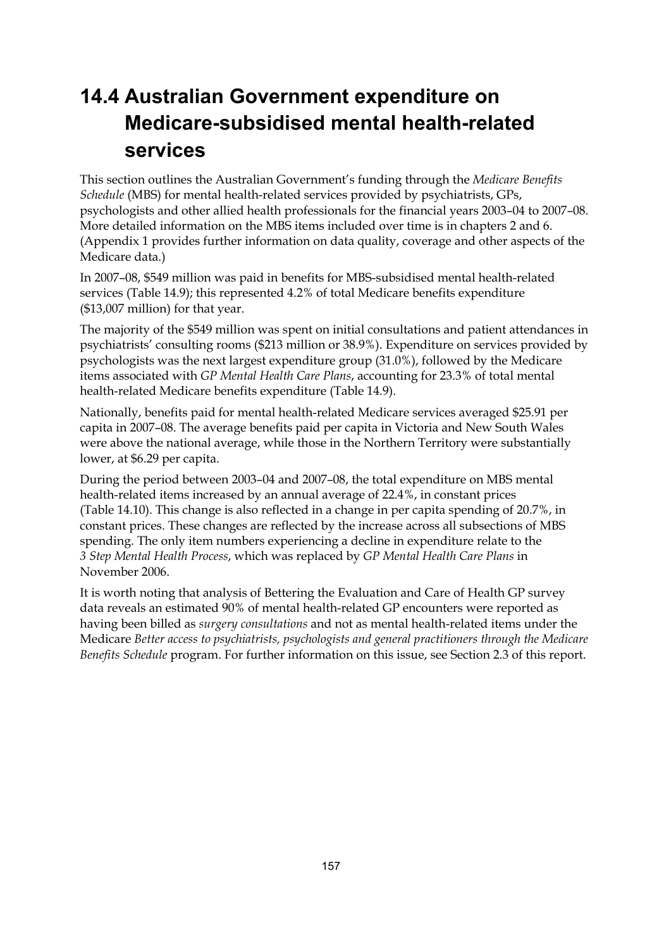# **14.4 Australian Government expenditure on Medicare-subsidised mental health-related services**

This section outlines the Australian Government's funding through the *Medicare Benefits Schedule* (MBS) for mental health-related services provided by psychiatrists, GPs, psychologists and other allied health professionals for the financial years 2003–04 to 2007–08. More detailed information on the MBS items included over time is in chapters 2 and 6. (Appendix 1 provides further information on data quality, coverage and other aspects of the Medicare data.)

In 2007–08, \$549 million was paid in benefits for MBS-subsidised mental health-related services (Table 14.9); this represented 4.2% of total Medicare benefits expenditure (\$13,007 million) for that year.

The majority of the \$549 million was spent on initial consultations and patient attendances in psychiatrists' consulting rooms (\$213 million or 38.9%). Expenditure on services provided by psychologists was the next largest expenditure group (31.0%), followed by the Medicare items associated with *GP Mental Health Care Plans*, accounting for 23.3% of total mental health-related Medicare benefits expenditure (Table 14.9).

Nationally, benefits paid for mental health-related Medicare services averaged \$25.91 per capita in 2007–08. The average benefits paid per capita in Victoria and New South Wales were above the national average, while those in the Northern Territory were substantially lower, at \$6.29 per capita.

During the period between 2003–04 and 2007–08, the total expenditure on MBS mental health-related items increased by an annual average of 22.4%, in constant prices (Table 14.10). This change is also reflected in a change in per capita spending of 20.7%, in constant prices. These changes are reflected by the increase across all subsections of MBS spending. The only item numbers experiencing a decline in expenditure relate to the *3 Step Mental Health Process*, which was replaced by *GP Mental Health Care Plans* in November 2006.

It is worth noting that analysis of Bettering the Evaluation and Care of Health GP survey data reveals an estimated 90% of mental health-related GP encounters were reported as having been billed as *surgery consultations* and not as mental health-related items under the Medicare *Better access to psychiatrists, psychologists and general practitioners through the Medicare Benefits Schedule* program. For further information on this issue, see Section 2.3 of this report.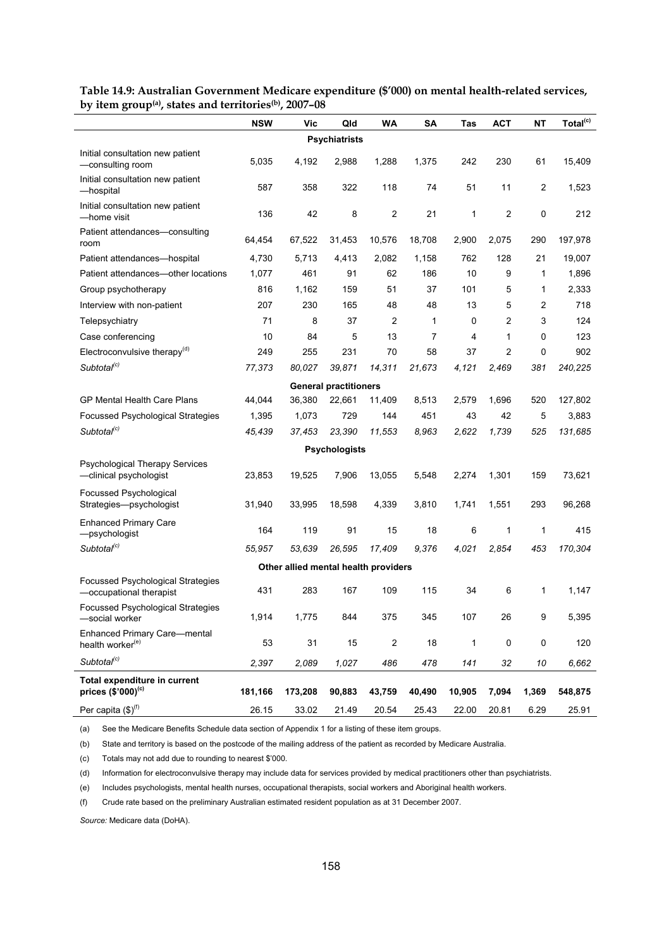|                                                                     | <b>NSW</b> | Vic                                  | Qld                          | WA             | <b>SA</b>      | Tas          | <b>ACT</b> | <b>NT</b> | Total <sup>(c)</sup> |  |  |
|---------------------------------------------------------------------|------------|--------------------------------------|------------------------------|----------------|----------------|--------------|------------|-----------|----------------------|--|--|
| <b>Psychiatrists</b>                                                |            |                                      |                              |                |                |              |            |           |                      |  |  |
| Initial consultation new patient<br>-consulting room                | 5,035      | 4,192                                | 2,988                        | 1,288          | 1,375          | 242          | 230        | 61        | 15,409               |  |  |
| Initial consultation new patient<br>-hospital                       | 587        | 358                                  | 322                          | 118            | 74             | 51           | 11         | 2         | 1,523                |  |  |
| Initial consultation new patient<br>—home visit                     | 136        | 42                                   | 8                            | $\overline{2}$ | 21             | 1            | 2          | 0         | 212                  |  |  |
| Patient attendances-consulting<br>room                              | 64,454     | 67,522                               | 31,453                       | 10,576         | 18,708         | 2,900        | 2,075      | 290       | 197,978              |  |  |
| Patient attendances-hospital                                        | 4,730      | 5,713                                | 4,413                        | 2,082          | 1,158          | 762          | 128        | 21        | 19,007               |  |  |
| Patient attendances-other locations                                 | 1,077      | 461                                  | 91                           | 62             | 186            | 10           | 9          | 1         | 1,896                |  |  |
| Group psychotherapy                                                 | 816        | 1,162                                | 159                          | 51             | 37             | 101          | 5          | 1         | 2,333                |  |  |
| Interview with non-patient                                          | 207        | 230                                  | 165                          | 48             | 48             | 13           | 5          | 2         | 718                  |  |  |
| Telepsychiatry                                                      | 71         | 8                                    | 37                           | 2              | $\mathbf{1}$   | 0            | 2          | 3         | 124                  |  |  |
| Case conferencing                                                   | 10         | 84                                   | 5                            | 13             | $\overline{7}$ | 4            | 1          | 0         | 123                  |  |  |
| Electroconvulsive therapy <sup>(d)</sup>                            | 249        | 255                                  | 231                          | 70             | 58             | 37           | 2          | 0         | 902                  |  |  |
| Subtotal <sup>(c)</sup>                                             | 77,373     | 80,027                               | 39,871                       | 14,311         | 21,673         | 4,121        | 2,469      | 381       | 240,225              |  |  |
|                                                                     |            |                                      | <b>General practitioners</b> |                |                |              |            |           |                      |  |  |
| GP Mental Health Care Plans                                         | 44,044     | 36,380                               | 22,661                       | 11,409         | 8,513          | 2,579        | 1,696      | 520       | 127,802              |  |  |
| <b>Focussed Psychological Strategies</b>                            | 1,395      | 1,073                                | 729                          | 144            | 451            | 43           | 42         | 5         | 3,883                |  |  |
| Subtotal <sup>(c)</sup>                                             | 45,439     | 37,453                               | 23,390                       | 11,553         | 8,963          | 2,622        | 1,739      | 525       | 131,685              |  |  |
|                                                                     |            |                                      | <b>Psychologists</b>         |                |                |              |            |           |                      |  |  |
| <b>Psychological Therapy Services</b><br>-clinical psychologist     | 23,853     | 19,525                               | 7,906                        | 13,055         | 5,548          | 2,274        | 1,301      | 159       | 73,621               |  |  |
|                                                                     |            |                                      |                              |                |                |              |            |           |                      |  |  |
| Focussed Psychological<br>Strategies-psychologist                   | 31,940     | 33,995                               | 18,598                       | 4,339          | 3,810          | 1,741        | 1,551      | 293       | 96,268               |  |  |
| <b>Enhanced Primary Care</b><br>-psychologist                       | 164        | 119                                  | 91                           | 15             | 18             | 6            | 1          | 1         | 415                  |  |  |
| Subtotal <sup>(c)</sup>                                             | 55,957     | 53,639                               | 26,595                       | 17,409         | 9,376          | 4,021        | 2,854      | 453       | 170,304              |  |  |
|                                                                     |            | Other allied mental health providers |                              |                |                |              |            |           |                      |  |  |
| <b>Focussed Psychological Strategies</b><br>-occupational therapist | 431        | 283                                  | 167                          | 109            | 115            | 34           | 6          | 1         | 1.147                |  |  |
| Focussed Psychological Strategies<br>-social worker                 | 1,914      | 1,775                                | 844                          | 375            | 345            | 107          | 26         | 9         | 5,395                |  |  |
| <b>Enhanced Primary Care-mental</b><br>health worker <sup>(e)</sup> | 53         | 31                                   | 15                           | $\overline{c}$ | 18             | $\mathbf{1}$ | $\pmb{0}$  | 0         | 120                  |  |  |
| Subtotal <sup>(c)</sup>                                             | 2,397      | 2,089                                | 1,027                        | 486            | 478            | 141          | 32         | 10        | 6,662                |  |  |
| Total expenditure in current                                        |            |                                      |                              |                |                |              |            |           |                      |  |  |
| prices $({\rm \$'}000)^{^{(c)}}$                                    | 181,166    | 173,208                              | 90,883                       | 43,759         | 40,490         | 10,905       | 7,094      | 1,369     | 548,875              |  |  |
| Per capita $(\$)^{(f)}$                                             | 26.15      | 33.02                                | 21.49                        | 20.54          | 25.43          | 22.00        | 20.81      | 6.29      | 25.91                |  |  |

**Table 14.9: Australian Government Medicare expenditure (\$'000) on mental health-related services, by item group(a), states and territories(b), 2007–08**

(a) See the Medicare Benefits Schedule data section of Appendix 1 for a listing of these item groups.

(b) State and territory is based on the postcode of the mailing address of the patient as recorded by Medicare Australia.

(c) Totals may not add due to rounding to nearest \$'000.

(d) Information for electroconvulsive therapy may include data for services provided by medical practitioners other than psychiatrists.

(e) Includes psychologists, mental health nurses, occupational therapists, social workers and Aboriginal health workers.

(f) Crude rate based on the preliminary Australian estimated resident population as at 31 December 2007.

*Source:* Medicare data (DoHA).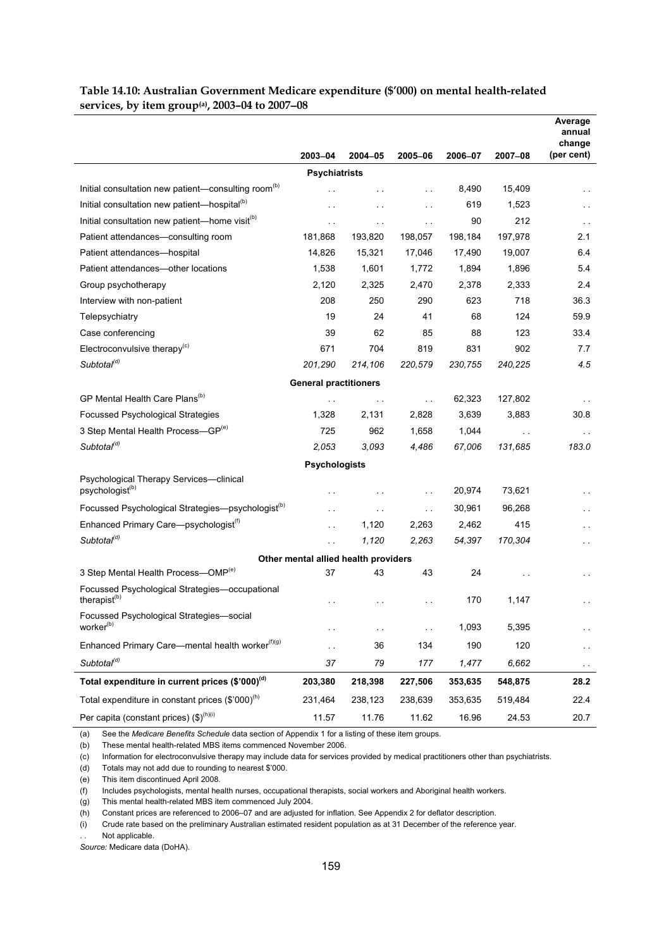#### **Table 14.10: Australian Government Medicare expenditure (\$'000) on mental health-related services, by item group(a), 2003–04 to 2007**−**08**

|                                                                        |                                            |                      |               |         |                      | Average<br>annual<br>change |
|------------------------------------------------------------------------|--------------------------------------------|----------------------|---------------|---------|----------------------|-----------------------------|
|                                                                        | 2003-04                                    | 2004-05              | 2005-06       | 2006-07 | 2007-08              | (per cent)                  |
|                                                                        | <b>Psychiatrists</b>                       |                      |               |         |                      |                             |
| Initial consultation new patient-consulting room <sup>(b)</sup>        | . .                                        |                      | $\sim$ $\sim$ | 8,490   | 15,409               | . .                         |
| Initial consultation new patient-hospital <sup>(b)</sup>               | $\ddot{\phantom{1}}$                       | $\ddot{\phantom{a}}$ | $\sim$ $\sim$ | 619     | 1,523                | $\ddot{\phantom{0}}$        |
| Initial consultation new patient-home visit <sup>(b)</sup>             | . .                                        | $\sim$ $\sim$        | $\sim$ $\sim$ | 90      | 212                  | $\sim$ $\sim$               |
| Patient attendances-consulting room                                    | 181,868                                    | 193,820              | 198,057       | 198,184 | 197,978              | 2.1                         |
| Patient attendances—hospital                                           | 14,826                                     | 15,321               | 17,046        | 17.490  | 19,007               | 6.4                         |
| Patient attendances-other locations                                    | 1,538                                      | 1,601                | 1,772         | 1,894   | 1,896                | 5.4                         |
| Group psychotherapy                                                    | 2,120                                      | 2,325                | 2,470         | 2,378   | 2,333                | 2.4                         |
| Interview with non-patient                                             | 208                                        | 250                  | 290           | 623     | 718                  | 36.3                        |
| Telepsychiatry                                                         | 19                                         | 24                   | 41            | 68      | 124                  | 59.9                        |
| Case conferencing                                                      | 39                                         | 62                   | 85            | 88      | 123                  | 33.4                        |
| Electroconvulsive therapy $(c)$                                        | 671                                        | 704                  | 819           | 831     | 902                  | 7.7                         |
| Subtotal <sup>(d)</sup>                                                | 201,290                                    | 214,106              | 220,579       | 230,755 | 240,225              | 4.5                         |
|                                                                        | <b>General practitioners</b>               |                      |               |         |                      |                             |
| GP Mental Health Care Plans <sup>(b)</sup>                             |                                            | $\sim$ $\sim$        | $\sim$ $\sim$ | 62,323  | 127,802              |                             |
| <b>Focussed Psychological Strategies</b>                               | 1,328                                      | 2,131                | 2,828         | 3,639   | 3,883                | 30.8                        |
| 3 Step Mental Health Process-GP(e)                                     | 725                                        | 962                  | 1,658         | 1,044   | $\ddot{\phantom{0}}$ | $\ddotsc$                   |
| Subtotal <sup>(d)</sup>                                                | 2,053                                      | 3.093                | 4,486         | 67,006  | 131,685              | 183.0                       |
|                                                                        | <b>Psychologists</b>                       |                      |               |         |                      |                             |
| Psychological Therapy Services-clinical<br>psychologist <sup>(b)</sup> | . .                                        | $\ddotsc$            | $\sim$ $\sim$ | 20,974  | 73,621               | $\sim$ $\sim$               |
| Focussed Psychological Strategies-psychologist <sup>(b)</sup>          | . .                                        | $\sim$ $\sim$        | $\sim$ .      | 30,961  | 96,268               | $\ddotsc$                   |
| Enhanced Primary Care-psychologist <sup>(f)</sup>                      | . .                                        | 1,120                | 2,263         | 2,462   | 415                  |                             |
| Subtotal <sup>(d)</sup>                                                |                                            | 1,120                | 2,263         | 54,397  | 170,304              | $\ddotsc$                   |
|                                                                        |                                            |                      |               |         |                      | $\sim$                      |
| 3 Step Mental Health Process-OMP <sup>(e)</sup>                        | Other mental allied health providers<br>37 | 43                   | 43            | 24      |                      |                             |
| Focussed Psychological Strategies-occupational                         |                                            |                      |               |         |                      | .,                          |
| therapist <sup>(b)</sup>                                               |                                            |                      |               | 170     | 1,147                |                             |
| Focussed Psychological Strategies-social<br>worker <sup>(b)</sup>      | ο,                                         | $\sim$ $\sim$        | $\sim$ $\sim$ | 1,093   | 5,395                | e e                         |
| Enhanced Primary Care-mental health worker <sup>(f)(g)</sup>           | L.                                         | 36                   | 134           | 190     | 120                  | н,                          |
| Subtotal <sup>(d)</sup>                                                | 37                                         | 79                   | 177           | 1,477   | 6,662                | $\sim$ $\sim$               |
| Total expenditure in current prices (\$'000) <sup>(d)</sup>            | 203,380                                    | 218,398              | 227,506       | 353,635 | 548,875              | 28.2                        |
| Total expenditure in constant prices (\$'000) <sup>(h)</sup>           | 231,464                                    | 238,123              | 238,639       | 353,635 | 519,484              | 22.4                        |
| Per capita (constant prices) (\$) <sup>(h)(i)</sup>                    | 11.57                                      | 11.76                | 11.62         | 16.96   | 24.53                | 20.7                        |

(a) See the *Medicare Benefits Schedule* data section of Appendix 1 for a listing of these item groups.

(b) These mental health-related MBS items commenced November 2006.

(c) Information for electroconvulsive therapy may include data for services provided by medical practitioners other than psychiatrists.

(d) Totals may not add due to rounding to nearest \$'000.

(e) This item discontinued April 2008.

(f) Includes psychologists, mental health nurses, occupational therapists, social workers and Aboriginal health workers.

(g) This mental health-related MBS item commenced July 2004.

(h) Constant prices are referenced to 2006–07 and are adjusted for inflation. See Appendix 2 for deflator description.

(i) Crude rate based on the preliminary Australian estimated resident population as at 31 December of the reference year.

Not applicable.

l,

*Source:* Medicare data (DoHA).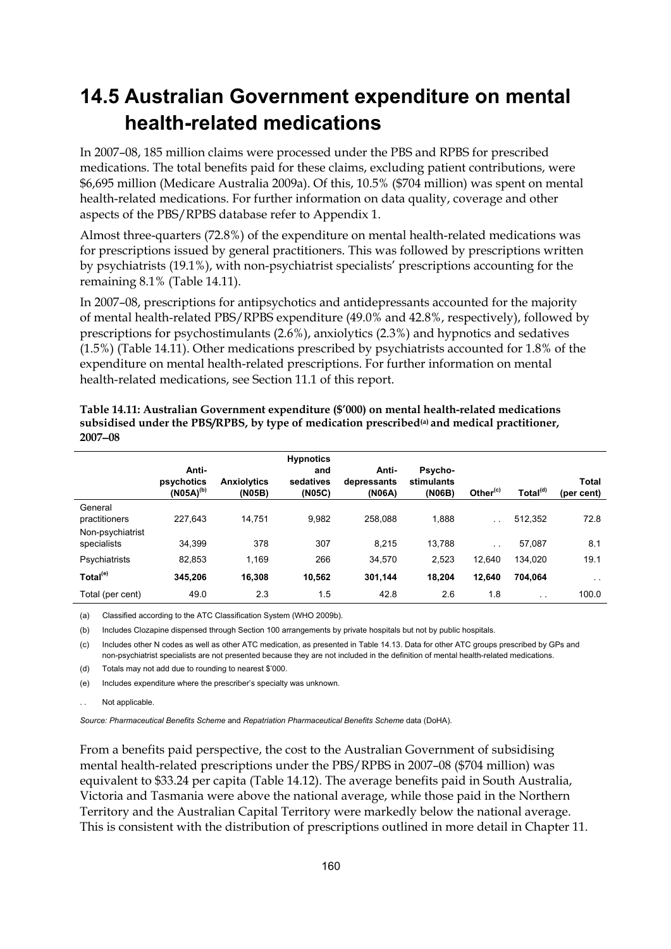# **14.5 Australian Government expenditure on mental health-related medications**

In 2007–08, 185 million claims were processed under the PBS and RPBS for prescribed medications. The total benefits paid for these claims, excluding patient contributions, were \$6,695 million (Medicare Australia 2009a). Of this, 10.5% (\$704 million) was spent on mental health-related medications. For further information on data quality, coverage and other aspects of the PBS/RPBS database refer to Appendix 1.

Almost three-quarters (72.8%) of the expenditure on mental health-related medications was for prescriptions issued by general practitioners. This was followed by prescriptions written by psychiatrists (19.1%), with non-psychiatrist specialists' prescriptions accounting for the remaining 8.1% (Table 14.11).

In 2007–08, prescriptions for antipsychotics and antidepressants accounted for the majority of mental health-related PBS/RPBS expenditure (49.0% and 42.8%, respectively), followed by prescriptions for psychostimulants (2.6%), anxiolytics (2.3%) and hypnotics and sedatives (1.5%) (Table 14.11). Other medications prescribed by psychiatrists accounted for 1.8% of the expenditure on mental health-related prescriptions. For further information on mental health-related medications, see Section 11.1 of this report.

|                                 | Anti-<br>psychotics<br>$(NO5A)^{(b)}$ | <b>Anxiolytics</b><br>(N05B) | <b>Hypnotics</b><br>and<br>sedatives<br>(NO5C) | Anti-<br>depressants<br>(N06A) | Psycho-<br>stimulants<br>(N06B) | Other $(c)$ | Total <sup>(d)</sup> | Total<br>(per cent) |
|---------------------------------|---------------------------------------|------------------------------|------------------------------------------------|--------------------------------|---------------------------------|-------------|----------------------|---------------------|
| General<br>practitioners        | 227.643                               | 14.751                       | 9,982                                          | 258.088                        | 1,888                           | $\sim$      | 512,352              | 72.8                |
| Non-psychiatrist<br>specialists | 34,399                                | 378                          | 307                                            | 8.215                          | 13,788                          | $\sim$      | 57,087               | 8.1                 |
| Psychiatrists                   | 82,853                                | 1.169                        | 266                                            | 34,570                         | 2,523                           | 12,640      | 134,020              | 19.1                |
| Total <sup>(e)</sup>            | 345.206                               | 16,308                       | 10,562                                         | 301,144                        | 18,204                          | 12,640      | 704,064              | $\sim$ $-$          |
| Total (per cent)                | 49.0                                  | 2.3                          | 1.5                                            | 42.8                           | 2.6                             | 1.8         | $\sim$ $\sim$        | 100.0               |

**Table 14.11: Australian Government expenditure (\$'000) on mental health-related medications**  subsidised under the PBS/RPBS, by type of medication prescribed<sup>(a)</sup> and medical practitioner, **2007**−**08** 

(a) Classified according to the ATC Classification System (WHO 2009b).

(b) Includes Clozapine dispensed through Section 100 arrangements by private hospitals but not by public hospitals.

(c) Includes other N codes as well as other ATC medication, as presented in Table 14.13. Data for other ATC groups prescribed by GPs and non-psychiatrist specialists are not presented because they are not included in the definition of mental health-related medications. (d) Totals may not add due to rounding to nearest \$'000.

(e) Includes expenditure where the prescriber's specialty was unknown.

Not applicable.

*Source: Pharmaceutical Benefits Scheme* and *Repatriation Pharmaceutical Benefits Scheme* data (DoHA).

From a benefits paid perspective, the cost to the Australian Government of subsidising mental health-related prescriptions under the PBS/RPBS in 2007–08 (\$704 million) was equivalent to \$33.24 per capita (Table 14.12). The average benefits paid in South Australia, Victoria and Tasmania were above the national average, while those paid in the Northern Territory and the Australian Capital Territory were markedly below the national average. This is consistent with the distribution of prescriptions outlined in more detail in Chapter 11.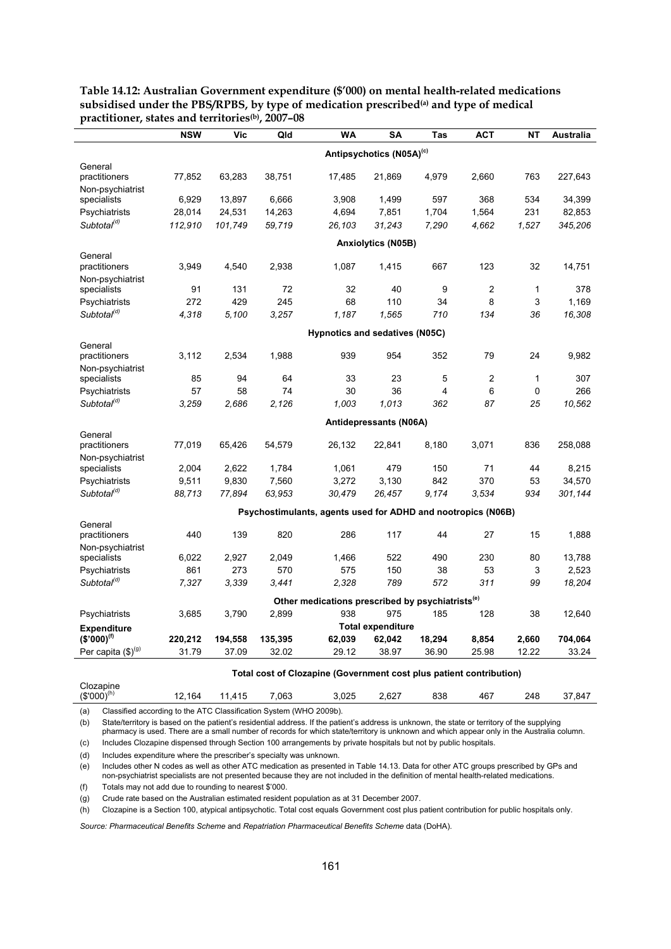|                                 | <b>NSW</b>                           | <b>Vic</b> | Qld     | <b>WA</b>                                                           | SA                       | Tas    | <b>ACT</b>     | <b>NT</b> | Australia |  |  |  |  |
|---------------------------------|--------------------------------------|------------|---------|---------------------------------------------------------------------|--------------------------|--------|----------------|-----------|-----------|--|--|--|--|
|                                 | Antipsychotics (N05A) <sup>(c)</sup> |            |         |                                                                     |                          |        |                |           |           |  |  |  |  |
| General                         |                                      |            |         |                                                                     |                          |        |                |           |           |  |  |  |  |
| practitioners                   | 77,852                               | 63,283     | 38,751  | 17,485                                                              | 21,869                   | 4,979  | 2,660          | 763       | 227,643   |  |  |  |  |
| Non-psychiatrist                |                                      |            |         |                                                                     |                          |        |                |           |           |  |  |  |  |
| specialists                     | 6,929                                | 13,897     | 6,666   | 3,908                                                               | 1,499                    | 597    | 368            | 534       | 34,399    |  |  |  |  |
| Psychiatrists                   | 28,014                               | 24,531     | 14,263  | 4,694                                                               | 7,851                    | 1,704  | 1,564          | 231       | 82,853    |  |  |  |  |
| Subtotal <sup>(d)</sup>         | 112,910                              | 101,749    | 59,719  | 26,103                                                              | 31,243                   | 7,290  | 4,662          | 1,527     | 345,206   |  |  |  |  |
|                                 | <b>Anxiolytics (N05B)</b>            |            |         |                                                                     |                          |        |                |           |           |  |  |  |  |
| General                         |                                      |            |         |                                                                     |                          |        |                |           |           |  |  |  |  |
| practitioners                   | 3,949                                | 4,540      | 2,938   | 1,087                                                               | 1,415                    | 667    | 123            | 32        | 14,751    |  |  |  |  |
| Non-psychiatrist                |                                      |            |         |                                                                     |                          |        |                |           |           |  |  |  |  |
| specialists                     | 91                                   | 131        | 72      | 32                                                                  | 40                       | 9      | $\overline{c}$ | 1         | 378       |  |  |  |  |
| Psychiatrists                   | 272                                  | 429        | 245     | 68                                                                  | 110                      | 34     | 8              | 3         | 1.169     |  |  |  |  |
| Subtotal <sup>(d)</sup>         | 4,318                                | 5.100      | 3,257   | 1,187                                                               | 1,565                    | 710    | 134            | 36        | 16,308    |  |  |  |  |
|                                 | Hypnotics and sedatives (N05C)       |            |         |                                                                     |                          |        |                |           |           |  |  |  |  |
| General<br>practitioners        | 3,112                                |            | 1,988   | 939                                                                 | 954                      | 352    | 79             | 24        | 9,982     |  |  |  |  |
|                                 |                                      | 2,534      |         |                                                                     |                          |        |                |           |           |  |  |  |  |
| Non-psychiatrist<br>specialists | 85                                   | 94         | 64      | 33                                                                  | 23                       | 5      | 2              | 1         | 307       |  |  |  |  |
| Psychiatrists                   | 57                                   | 58         | 74      | 30                                                                  | 36                       | 4      | 6              | 0         | 266       |  |  |  |  |
| Subtotal <sup>(d)</sup>         |                                      | 2,686      | 2,126   | 1,003                                                               | 1,013                    | 362    | 87             | 25        | 10,562    |  |  |  |  |
|                                 | 3,259                                |            |         |                                                                     |                          |        |                |           |           |  |  |  |  |
| General                         |                                      |            |         |                                                                     | Antidepressants (N06A)   |        |                |           |           |  |  |  |  |
| practitioners                   | 77,019                               | 65,426     | 54,579  | 26,132                                                              | 22,841                   | 8,180  | 3,071          | 836       | 258,088   |  |  |  |  |
| Non-psychiatrist                |                                      |            |         |                                                                     |                          |        |                |           |           |  |  |  |  |
| specialists                     | 2,004                                | 2,622      | 1,784   | 1,061                                                               | 479                      | 150    | 71             | 44        | 8,215     |  |  |  |  |
| Psychiatrists                   | 9,511                                | 9,830      | 7,560   | 3,272                                                               | 3,130                    | 842    | 370            | 53        | 34,570    |  |  |  |  |
| Subtotal <sup>(d)</sup>         | 88,713                               | 77,894     | 63,953  | 30,479                                                              | 26,457                   | 9,174  | 3.534          | 934       | 301,144   |  |  |  |  |
|                                 |                                      |            |         | Psychostimulants, agents used for ADHD and nootropics (N06B)        |                          |        |                |           |           |  |  |  |  |
| General                         |                                      |            |         |                                                                     |                          |        |                |           |           |  |  |  |  |
| practitioners                   | 440                                  | 139        | 820     | 286                                                                 | 117                      | 44     | 27             | 15        | 1,888     |  |  |  |  |
| Non-psychiatrist                |                                      |            |         |                                                                     |                          |        |                |           |           |  |  |  |  |
| specialists                     | 6,022                                | 2,927      | 2,049   | 1,466                                                               | 522                      | 490    | 230            | 80        | 13,788    |  |  |  |  |
| Psychiatrists                   | 861                                  | 273        | 570     | 575                                                                 | 150                      | 38     | 53             | 3         | 2,523     |  |  |  |  |
| Subtotal <sup>(d)</sup>         | 7,327                                | 3.339      | 3,441   | 2,328                                                               | 789                      | 572    | 311            | 99        | 18,204    |  |  |  |  |
|                                 |                                      |            |         | Other medications prescribed by psychiatrists <sup>(e)</sup>        |                          |        |                |           |           |  |  |  |  |
| Psychiatrists                   | 3,685                                | 3,790      | 2,899   | 938                                                                 | 975                      | 185    | 128            | 38        | 12,640    |  |  |  |  |
| <b>Expenditure</b>              |                                      |            |         |                                                                     | <b>Total expenditure</b> |        |                |           |           |  |  |  |  |
| $(S'000)^{(f)}$                 | 220,212                              | 194,558    | 135,395 | 62,039                                                              | 62,042                   | 18,294 | 8,854          | 2,660     | 704,064   |  |  |  |  |
| Per capita (\$)(g)              | 31.79                                | 37.09      | 32.02   | 29.12                                                               | 38.97                    | 36.90  | 25.98          | 12.22     | 33.24     |  |  |  |  |
|                                 |                                      |            |         | Total cost of Clozanine (Government cost plus patient contribution) |                          |        |                |           |           |  |  |  |  |

#### **Table 14.12: Australian Government expenditure (\$'000) on mental health-related medications**  subsidised under the PBS/RPBS, by type of medication prescribed<sup>(a)</sup> and type of medical **practitioner, states and territories(b), 2007–08**

| Total cost of Glozaphie (Government cost plus patient contribution) |        |        |       |       |       |     |     |     |        |  |
|---------------------------------------------------------------------|--------|--------|-------|-------|-------|-----|-----|-----|--------|--|
| Clozapine<br>$(S'000)^{(h)}$                                        | 12.164 | 11.415 | 7.063 | 3.025 | 2.627 | 838 | 467 | 248 | 37.847 |  |
|                                                                     |        |        |       |       |       |     |     |     |        |  |

(a) Classified according to the ATC Classification System (WHO 2009b).

(b) State/territory is based on the patient's residential address. If the patient's address is unknown, the state or territory of the supplying

pharmacy is used. There are a small number of records for which state/territory is unknown and which appear only in the Australia column. (c) Includes Clozapine dispensed through Section 100 arrangements by private hospitals but not by public hospitals.

(d) Includes expenditure where the prescriber's specialty was unknown.

(e) Includes other N codes as well as other ATC medication as presented in Table 14.13. Data for other ATC groups prescribed by GPs and non-psychiatrist specialists are not presented because they are not included in the definition of mental health-related medications.

(f) Totals may not add due to rounding to nearest \$'000.

(g) Crude rate based on the Australian estimated resident population as at 31 December 2007.

(h) Clozapine is a Section 100, atypical antipsychotic. Total cost equals Government cost plus patient contribution for public hospitals only.

*Source: Pharmaceutical Benefits Scheme* and *Repatriation Pharmaceutical Benefits Scheme* data (DoHA).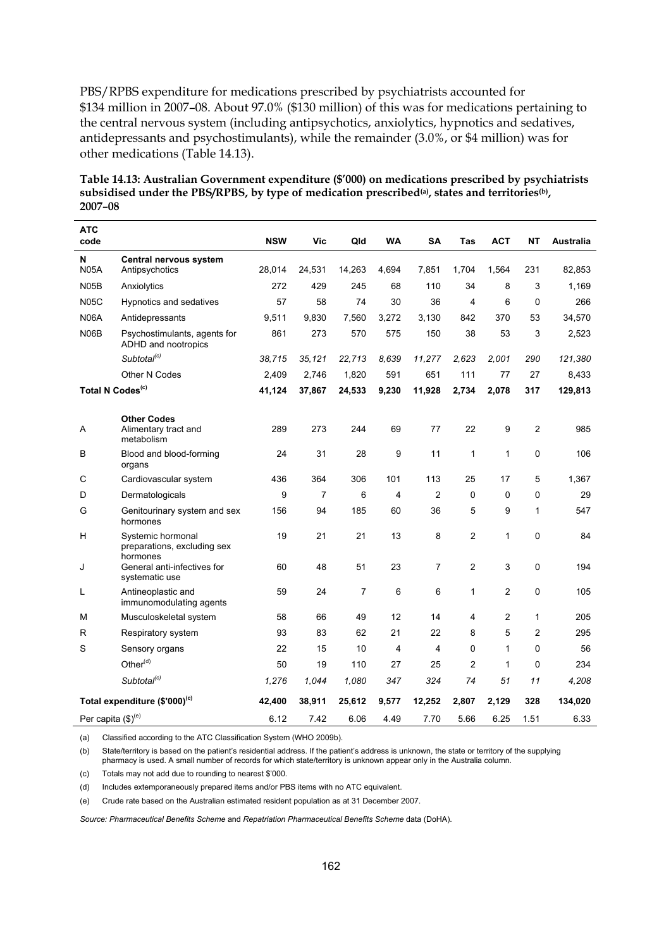PBS/RPBS expenditure for medications prescribed by psychiatrists accounted for \$134 million in 2007–08. About 97.0% (\$130 million) of this was for medications pertaining to the central nervous system (including antipsychotics, anxiolytics, hypnotics and sedatives, antidepressants and psychostimulants), while the remainder (3.0%, or \$4 million) was for other medications (Table 14.13).

**Table 14.13: Australian Government expenditure (\$'000) on medications prescribed by psychiatrists**  subsidised under the PBS/RPBS, by type of medication prescribed<sup>(a)</sup>, states and territories<sup>(b)</sup>, **2007–08** 

| ATC<br>code                    |                                                           | <b>NSW</b> | Vic    | Qld            | WA    | SΑ             | Tas            | <b>ACT</b>     | NΤ       | Australia |
|--------------------------------|-----------------------------------------------------------|------------|--------|----------------|-------|----------------|----------------|----------------|----------|-----------|
| N<br><b>N05A</b>               | Central nervous system<br>Antipsychotics                  | 28,014     | 24,531 | 14,263         | 4,694 | 7,851          | 1,704          | 1,564          | 231      | 82,853    |
|                                |                                                           | 272        | 429    | 245            | 68    | 110            | 34             | 8              | 3        | 1,169     |
| N05B                           | Anxiolytics                                               |            |        |                |       |                |                |                |          |           |
| <b>N05C</b>                    | Hypnotics and sedatives                                   | 57         | 58     | 74             | 30    | 36             | 4              | 6              | 0        | 266       |
| <b>N06A</b>                    | Antidepressants                                           | 9,511      | 9,830  | 7,560          | 3,272 | 3,130          | 842            | 370            | 53       | 34,570    |
| <b>N06B</b>                    | Psychostimulants, agents for<br>ADHD and nootropics       | 861        | 273    | 570            | 575   | 150            | 38             | 53             | 3        | 2,523     |
|                                | Subtotal <sup>(c)</sup>                                   | 38,715     | 35,121 | 22,713         | 8,639 | 11,277         | 2,623          | 2,001          | 290      | 121,380   |
|                                | Other N Codes                                             | 2,409      | 2,746  | 1,820          | 591   | 651            | 111            | 77             | 27       | 8,433     |
| Total N Codes <sup>(c)</sup>   |                                                           | 41,124     | 37,867 | 24,533         | 9,230 | 11,928         | 2,734          | 2,078          | 317      | 129,813   |
|                                |                                                           |            |        |                |       |                |                |                |          |           |
| Α                              | <b>Other Codes</b><br>Alimentary tract and<br>metabolism  | 289        | 273    | 244            | 69    | 77             | 22             | 9              | 2        | 985       |
| В                              | Blood and blood-forming<br>organs                         | 24         | 31     | 28             | 9     | 11             | 1              | 1              | 0        | 106       |
| С                              | Cardiovascular system                                     | 436        | 364    | 306            | 101   | 113            | 25             | 17             | 5        | 1,367     |
| D                              | Dermatologicals                                           | 9          | 7      | 6              | 4     | 2              | 0              | 0              | 0        | 29        |
| G                              | Genitourinary system and sex<br>hormones                  | 156        | 94     | 185            | 60    | 36             | 5              | 9              | 1        | 547       |
| н                              | Systemic hormonal<br>preparations, excluding sex          | 19         | 21     | 21             | 13    | 8              | 2              | 1              | 0        | 84        |
| J                              | hormones<br>General anti-infectives for<br>systematic use | 60         | 48     | 51             | 23    | $\overline{7}$ | $\overline{2}$ | 3              | $\Omega$ | 194       |
| Г                              | Antineoplastic and<br>immunomodulating agents             | 59         | 24     | $\overline{7}$ | 6     | 6              | 1              | $\overline{c}$ | 0        | 105       |
| М                              | Musculoskeletal system                                    | 58         | 66     | 49             | 12    | 14             | 4              | 2              | 1        | 205       |
| R                              | Respiratory system                                        | 93         | 83     | 62             | 21    | 22             | 8              | 5              | 2        | 295       |
| S                              | Sensory organs                                            | 22         | 15     | 10             | 4     | 4              | 0              | 1              | 0        | 56        |
|                                | Other <sup>(d)</sup>                                      | 50         | 19     | 110            | 27    | 25             | $\overline{2}$ | 1              | 0        | 234       |
|                                | Subtotal <sup>(c)</sup>                                   | 1,276      | 1,044  | 1,080          | 347   | 324            | 74             | 51             | 11       | 4,208     |
|                                | Total expenditure (\$'000) <sup>(c)</sup>                 | 42,400     | 38,911 | 25,612         | 9,577 | 12,252         | 2,807          | 2,129          | 328      | 134,020   |
| Per capita (\$) <sup>(e)</sup> |                                                           | 6.12       | 7.42   | 6.06           | 4.49  | 7.70           | 5.66           | 6.25           | 1.51     | 6.33      |

(a) Classified according to the ATC Classification System (WHO 2009b).

(b) State/territory is based on the patient's residential address. If the patient's address is unknown, the state or territory of the supplying pharmacy is used. A small number of records for which state/territory is unknown appear only in the Australia column.

(c) Totals may not add due to rounding to nearest \$'000.

(d) Includes extemporaneously prepared items and/or PBS items with no ATC equivalent.

(e) Crude rate based on the Australian estimated resident population as at 31 December 2007.

*Source: Pharmaceutical Benefits Scheme* and *Repatriation Pharmaceutical Benefits Scheme* data (DoHA).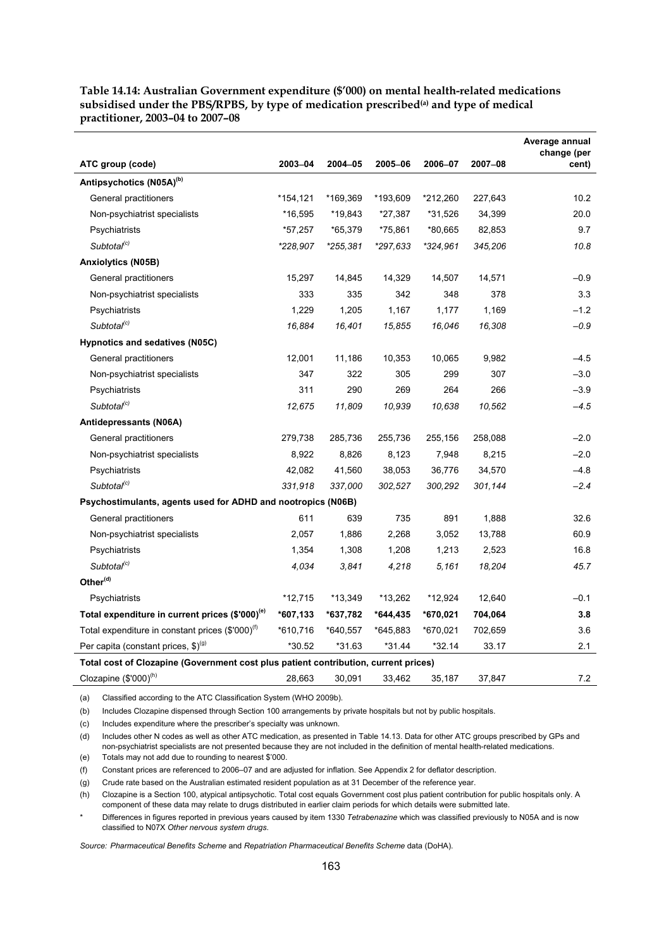**Table 14.14: Australian Government expenditure (\$'000) on mental health-related medications**  subsidised under the PBS/RPBS, by type of medication prescribed<sup>(a)</sup> and type of medical **practitioner, 2003–04 to 2007–08** 

|                                                                                     |           |          |          |          |         | Average annual<br>change (per |  |  |  |
|-------------------------------------------------------------------------------------|-----------|----------|----------|----------|---------|-------------------------------|--|--|--|
| ATC group (code)                                                                    | 2003-04   | 2004-05  | 2005-06  | 2006-07  | 2007-08 | cent)                         |  |  |  |
| Antipsychotics (N05A) <sup>(b)</sup>                                                |           |          |          |          |         |                               |  |  |  |
| General practitioners                                                               | *154,121  | *169,369 | *193,609 | *212,260 | 227,643 | 10.2                          |  |  |  |
| Non-psychiatrist specialists                                                        | *16,595   | *19,843  | *27,387  | *31,526  | 34,399  | 20.0                          |  |  |  |
| Psychiatrists                                                                       | *57,257   | *65,379  | *75,861  | *80,665  | 82,853  | 9.7                           |  |  |  |
| Subtotal <sup>(c)</sup>                                                             | *228,907  | *255,381 | *297,633 | *324,961 | 345,206 | 10.8                          |  |  |  |
| <b>Anxiolytics (N05B)</b>                                                           |           |          |          |          |         |                               |  |  |  |
| General practitioners                                                               | 15,297    | 14,845   | 14,329   | 14,507   | 14,571  | $-0.9$                        |  |  |  |
| Non-psychiatrist specialists                                                        | 333       | 335      | 342      | 348      | 378     | 3.3                           |  |  |  |
| Psychiatrists                                                                       | 1,229     | 1,205    | 1,167    | 1,177    | 1,169   | $-1.2$                        |  |  |  |
| Subtotal <sup>(c)</sup>                                                             | 16,884    | 16,401   | 15,855   | 16,046   | 16,308  | $-0.9$                        |  |  |  |
| Hypnotics and sedatives (N05C)                                                      |           |          |          |          |         |                               |  |  |  |
| General practitioners                                                               | 12,001    | 11,186   | 10,353   | 10,065   | 9,982   | $-4.5$                        |  |  |  |
| Non-psychiatrist specialists                                                        | 347       | 322      | 305      | 299      | 307     | $-3.0$                        |  |  |  |
| Psychiatrists                                                                       | 311       | 290      | 269      | 264      | 266     | $-3.9$                        |  |  |  |
| Subtotal <sup>(c)</sup>                                                             | 12,675    | 11,809   | 10,939   | 10,638   | 10,562  | $-4.5$                        |  |  |  |
| Antidepressants (N06A)                                                              |           |          |          |          |         |                               |  |  |  |
| General practitioners                                                               | 279,738   | 285,736  | 255,736  | 255,156  | 258,088 | $-2.0$                        |  |  |  |
| Non-psychiatrist specialists                                                        | 8,922     | 8,826    | 8,123    | 7,948    | 8,215   | $-2.0$                        |  |  |  |
| Psychiatrists                                                                       | 42,082    | 41,560   | 38,053   | 36,776   | 34,570  | $-4.8$                        |  |  |  |
| Subtotal <sup>(c)</sup>                                                             | 331,918   | 337,000  | 302,527  | 300,292  | 301,144 | $-2.4$                        |  |  |  |
| Psychostimulants, agents used for ADHD and nootropics (N06B)                        |           |          |          |          |         |                               |  |  |  |
| General practitioners                                                               | 611       | 639      | 735      | 891      | 1,888   | 32.6                          |  |  |  |
| Non-psychiatrist specialists                                                        | 2,057     | 1,886    | 2,268    | 3,052    | 13,788  | 60.9                          |  |  |  |
| Psychiatrists                                                                       | 1,354     | 1,308    | 1,208    | 1,213    | 2,523   | 16.8                          |  |  |  |
| Subtotal <sup>(c)</sup>                                                             | 4,034     | 3,841    | 4,218    | 5.161    | 18,204  | 45.7                          |  |  |  |
| Other <sup>(d)</sup>                                                                |           |          |          |          |         |                               |  |  |  |
| Psychiatrists                                                                       | $*12,715$ | *13,349  | *13,262  | *12,924  | 12,640  | $-0.1$                        |  |  |  |
| Total expenditure in current prices (\$'000) <sup>(e)</sup>                         | *607,133  | *637,782 | *644,435 | *670,021 | 704,064 | 3.8                           |  |  |  |
| Total expenditure in constant prices (\$'000) <sup>(f)</sup>                        | *610,716  | *640,557 | *645,883 | *670,021 | 702,659 | 3.6                           |  |  |  |
| Per capita (constant prices, $$)^{(9)}$                                             | *30.52    | *31.63   | $*31.44$ | $*32.14$ | 33.17   | 2.1                           |  |  |  |
| Total cost of Clozapine (Government cost plus patient contribution, current prices) |           |          |          |          |         |                               |  |  |  |

Clozapine (\$'000)<sup>(h)</sup> 28,663 30,091 33,462 35,187 37,847 7.2

(a) Classified according to the ATC Classification System (WHO 2009b).

(b) Includes Clozapine dispensed through Section 100 arrangements by private hospitals but not by public hospitals.

(c) Includes expenditure where the prescriber's specialty was unknown.

(d) Includes other N codes as well as other ATC medication, as presented in Table 14.13. Data for other ATC groups prescribed by GPs and non-psychiatrist specialists are not presented because they are not included in the definition of mental health-related medications.

(e) Totals may not add due to rounding to nearest \$'000.

(f) Constant prices are referenced to 2006–07 and are adjusted for inflation. See Appendix 2 for deflator description.

(g) Crude rate based on the Australian estimated resident population as at 31 December of the reference year.

(h) Clozapine is a Section 100, atypical antipsychotic. Total cost equals Government cost plus patient contribution for public hospitals only. A component of these data may relate to drugs distributed in earlier claim periods for which details were submitted late.

\* Differences in figures reported in previous years caused by item 1330 *Tetrabenazine* which was classified previously to N05A and is now classified to N07X *Other nervous system drugs*.

*Source: Pharmaceutical Benefits Scheme* and *Repatriation Pharmaceutical Benefits Scheme* data (DoHA).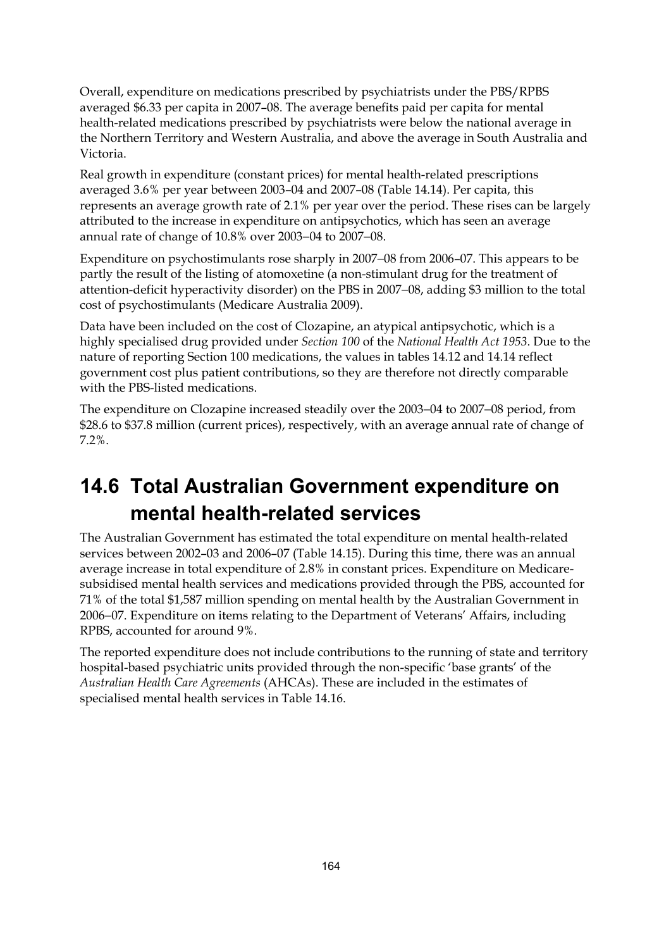Overall, expenditure on medications prescribed by psychiatrists under the PBS/RPBS averaged \$6.33 per capita in 2007–08. The average benefits paid per capita for mental health-related medications prescribed by psychiatrists were below the national average in the Northern Territory and Western Australia, and above the average in South Australia and Victoria.

Real growth in expenditure (constant prices) for mental health-related prescriptions averaged 3.6% per year between 2003–04 and 2007–08 (Table 14.14). Per capita, this represents an average growth rate of 2.1% per year over the period. These rises can be largely attributed to the increase in expenditure on antipsychotics, which has seen an average annual rate of change of 10.8% over 2003−04 to 2007−08.

Expenditure on psychostimulants rose sharply in 2007−08 from 2006–07. This appears to be partly the result of the listing of atomoxetine (a non-stimulant drug for the treatment of attention-deficit hyperactivity disorder) on the PBS in 2007−08, adding \$3 million to the total cost of psychostimulants (Medicare Australia 2009).

Data have been included on the cost of Clozapine, an atypical antipsychotic, which is a highly specialised drug provided under *Section 100* of the *National Health Act 1953*. Due to the nature of reporting Section 100 medications, the values in tables 14.12 and 14.14 reflect government cost plus patient contributions, so they are therefore not directly comparable with the PBS-listed medications.

The expenditure on Clozapine increased steadily over the 2003−04 to 2007−08 period, from \$28.6 to \$37.8 million (current prices), respectively, with an average annual rate of change of 7.2%.

# **14.6 Total Australian Government expenditure on mental health-related services**

The Australian Government has estimated the total expenditure on mental health-related services between 2002–03 and 2006–07 (Table 14.15). During this time, there was an annual average increase in total expenditure of 2.8% in constant prices. Expenditure on Medicaresubsidised mental health services and medications provided through the PBS, accounted for 71% of the total \$1,587 million spending on mental health by the Australian Government in 2006−07. Expenditure on items relating to the Department of Veterans' Affairs, including RPBS, accounted for around 9%.

The reported expenditure does not include contributions to the running of state and territory hospital-based psychiatric units provided through the non-specific 'base grants' of the *Australian Health Care Agreements* (AHCAs). These are included in the estimates of specialised mental health services in Table 14.16.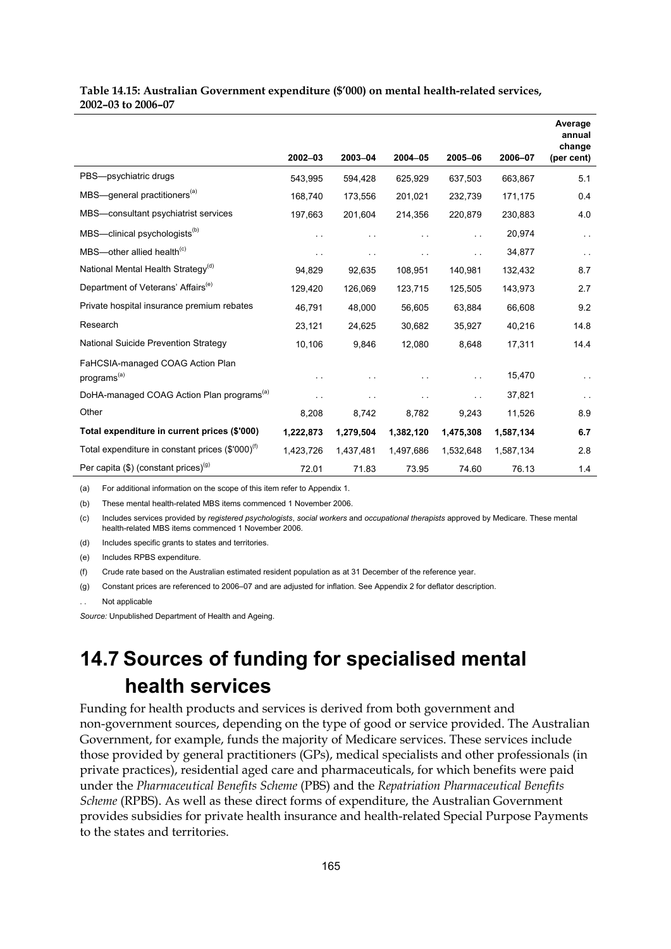#### **Table 14.15: Australian Government expenditure (\$'000) on mental health-related services, 2002–03 to 2006–07**

|                                                              |                      |           |               |                      |           | Average<br>annual<br>change |
|--------------------------------------------------------------|----------------------|-----------|---------------|----------------------|-----------|-----------------------------|
|                                                              | $2002 - 03$          | 2003-04   | 2004-05       | 2005-06              | 2006-07   | (per cent)                  |
| PBS-psychiatric drugs                                        | 543,995              | 594,428   | 625,929       | 637,503              | 663,867   | 5.1                         |
| MBS-general practitioners <sup>(a)</sup>                     | 168,740              | 173,556   | 201,021       | 232,739              | 171,175   | 0.4                         |
| MBS-consultant psychiatrist services                         | 197,663              | 201,604   | 214,356       | 220,879              | 230,883   | 4.0                         |
| MBS-clinical psychologists <sup>(b)</sup>                    | $\ddot{\phantom{1}}$ |           |               | $\ddot{\phantom{1}}$ | 20,974    | $\ddot{\phantom{0}}$        |
| $MBS$ —other allied health <sup>(c)</sup>                    | $\sim$ $\sim$        | . .       | $\sim$ $\sim$ |                      | 34,877    | $\ddot{\phantom{0}}$        |
| National Mental Health Strategy <sup>(d)</sup>               | 94,829               | 92,635    | 108,951       | 140.981              | 132,432   | 8.7                         |
| Department of Veterans' Affairs <sup>(e)</sup>               | 129,420              | 126,069   | 123,715       | 125,505              | 143,973   | 2.7                         |
| Private hospital insurance premium rebates                   | 46,791               | 48,000    | 56,605        | 63,884               | 66,608    | 9.2                         |
| Research                                                     | 23,121               | 24,625    | 30,682        | 35,927               | 40,216    | 14.8                        |
| National Suicide Prevention Strategy                         | 10,106               | 9,846     | 12,080        | 8,648                | 17,311    | 14.4                        |
| FaHCSIA-managed COAG Action Plan<br>programs <sup>(a)</sup>  |                      |           |               |                      | 15,470    | $\ddot{\phantom{1}}$        |
| DoHA-managed COAG Action Plan programs <sup>(a)</sup>        | $\sim$ $\sim$        |           | $\sim$        | $\ddotsc$            | 37,821    | $\ddotsc$                   |
| Other                                                        | 8,208                | 8,742     | 8,782         | 9,243                | 11,526    | 8.9                         |
| Total expenditure in current prices (\$'000)                 | 1,222,873            | 1,279,504 | 1,382,120     | 1,475,308            | 1,587,134 | 6.7                         |
| Total expenditure in constant prices (\$'000) <sup>(f)</sup> | 1,423,726            | 1,437,481 | 1,497,686     | 1,532,648            | 1,587,134 | 2.8                         |
| Per capita $(\$)$ (constant prices) <sup>(g)</sup>           | 72.01                | 71.83     | 73.95         | 74.60                | 76.13     | 1.4                         |

(a) For additional information on the scope of this item refer to Appendix 1.

(b) These mental health-related MBS items commenced 1 November 2006.

(c) Includes services provided by *registered psychologists*, *social workers* and *occupational therapists* approved by Medicare. These mental health-related MBS items commenced 1 November 2006.

(d) Includes specific grants to states and territories.

(e) Includes RPBS expenditure.

(f) Crude rate based on the Australian estimated resident population as at 31 December of the reference year.

(g) Constant prices are referenced to 2006–07 and are adjusted for inflation. See Appendix 2 for deflator description.

Not applicable

*Source:* Unpublished Department of Health and Ageing.

# **14.7 Sources of funding for specialised mental health services**

Funding for health products and services is derived from both government and non-government sources, depending on the type of good or service provided. The Australian Government, for example, funds the majority of Medicare services. These services include those provided by general practitioners (GPs), medical specialists and other professionals (in private practices), residential aged care and pharmaceuticals, for which benefits were paid under the *Pharmaceutical Benefits Scheme* (PBS) and the *Repatriation Pharmaceutical Benefits Scheme* (RPBS). As well as these direct forms of expenditure, the Australian Government provides subsidies for private health insurance and health-related Special Purpose Payments to the states and territories.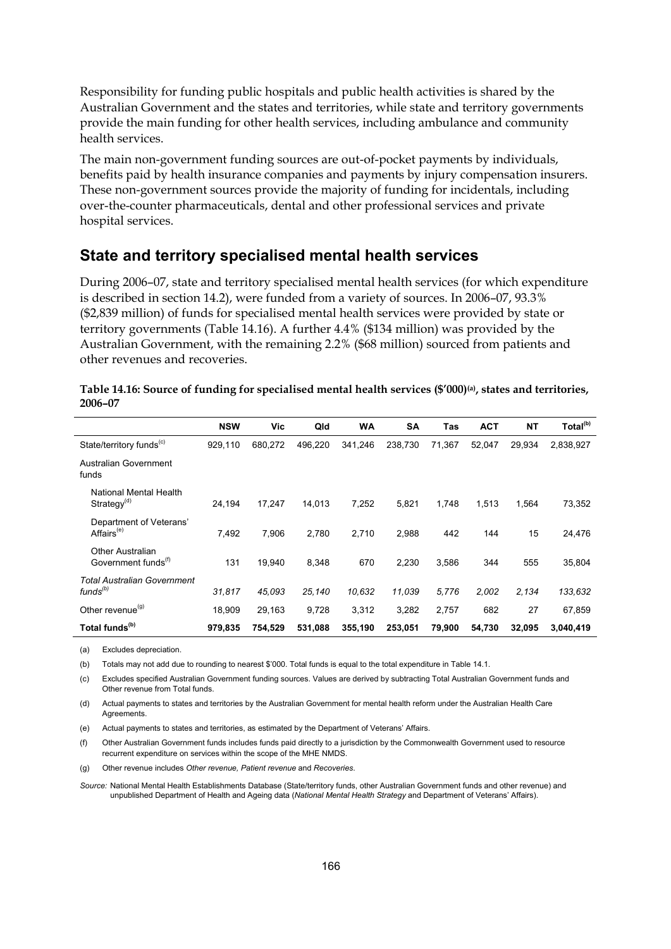Responsibility for funding public hospitals and public health activities is shared by the Australian Government and the states and territories, while state and territory governments provide the main funding for other health services, including ambulance and community health services.

The main non-government funding sources are out-of-pocket payments by individuals, benefits paid by health insurance companies and payments by injury compensation insurers. These non-government sources provide the majority of funding for incidentals, including over-the-counter pharmaceuticals, dental and other professional services and private hospital services.

### **State and territory specialised mental health services**

During 2006–07, state and territory specialised mental health services (for which expenditure is described in section 14.2), were funded from a variety of sources. In 2006–07, 93.3% (\$2,839 million) of funds for specialised mental health services were provided by state or territory governments (Table 14.16). A further 4.4% (\$134 million) was provided by the Australian Government, with the remaining 2.2% (\$68 million) sourced from patients and other revenues and recoveries.

|                                                     | <b>NSW</b> | Vic     | Qld     | <b>WA</b> | <b>SA</b> | Tas    | <b>ACT</b> | <b>NT</b> | Total <sup>(b)</sup> |
|-----------------------------------------------------|------------|---------|---------|-----------|-----------|--------|------------|-----------|----------------------|
| State/territory funds <sup>(c)</sup>                | 929.110    | 680,272 | 496.220 | 341.246   | 238.730   | 71,367 | 52,047     | 29.934    | 2,838,927            |
| Australian Government<br>funds                      |            |         |         |           |           |        |            |           |                      |
| National Mental Health<br>Strategy <sup>(d)</sup>   | 24,194     | 17,247  | 14,013  | 7,252     | 5,821     | 1,748  | 1,513      | 1,564     | 73,352               |
| Department of Veterans'<br>Affairs <sup>(e)</sup>   | 7.492      | 7.906   | 2.780   | 2,710     | 2.988     | 442    | 144        | 15        | 24,476               |
| Other Australian<br>Government funds <sup>(1)</sup> | 131        | 19,940  | 8,348   | 670       | 2,230     | 3,586  | 344        | 555       | 35,804               |
| <b>Total Australian Government</b><br>$funds^{(b)}$ | 31,817     | 45.093  | 25,140  | 10,632    | 11,039    | 5,776  | 2,002      | 2,134     | 133,632              |
| Other revenue <sup>(g)</sup>                        | 18,909     | 29,163  | 9,728   | 3,312     | 3,282     | 2,757  | 682        | 27        | 67,859               |
| Total funds <sup>(b)</sup>                          | 979.835    | 754.529 | 531,088 | 355,190   | 253.051   | 79,900 | 54,730     | 32,095    | 3,040,419            |

| Table 14.16: Source of funding for specialised mental health services (\$'000) <sup>(a)</sup> , states and territories, |
|-------------------------------------------------------------------------------------------------------------------------|
| 2006-07                                                                                                                 |

(a) Excludes depreciation.

(b) Totals may not add due to rounding to nearest \$'000. Total funds is equal to the total expenditure in Table 14.1.

(c) Excludes specified Australian Government funding sources. Values are derived by subtracting Total Australian Government funds and Other revenue from Total funds.

(d) Actual payments to states and territories by the Australian Government for mental health reform under the Australian Health Care **Agreements** 

(e) Actual payments to states and territories, as estimated by the Department of Veterans' Affairs.

(f) Other Australian Government funds includes funds paid directly to a jurisdiction by the Commonwealth Government used to resource recurrent expenditure on services within the scope of the MHE NMDS.

(g) Other revenue includes *Other revenue, Patient revenue* and *Recoveries*.

*Source:* National Mental Health Establishments Database (State/territory funds, other Australian Government funds and other revenue) and unpublished Department of Health and Ageing data (*National Mental Health Strategy* and Department of Veterans' Affairs).